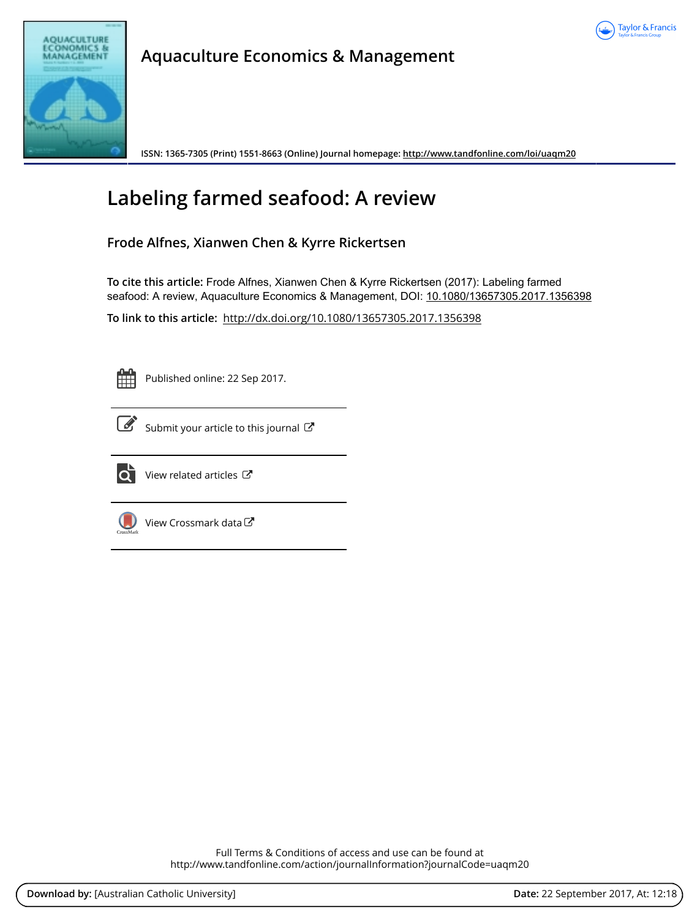



**Aquaculture Economics & Management**

**ISSN: 1365-7305 (Print) 1551-8663 (Online) Journal homepage:<http://www.tandfonline.com/loi/uaqm20>**

# **Labeling farmed seafood: A review**

**Frode Alfnes, Xianwen Chen & Kyrre Rickertsen**

**To cite this article:** Frode Alfnes, Xianwen Chen & Kyrre Rickertsen (2017): Labeling farmed seafood: A review, Aquaculture Economics & Management, DOI: [10.1080/13657305.2017.1356398](http://www.tandfonline.com/action/showCitFormats?doi=10.1080/13657305.2017.1356398)

**To link to this article:** <http://dx.doi.org/10.1080/13657305.2017.1356398>



Published online: 22 Sep 2017.



 $\overrightarrow{S}$  [Submit your article to this journal](http://www.tandfonline.com/action/authorSubmission?journalCode=uaqm20&show=instructions)  $\overrightarrow{S}$ 



[View related articles](http://www.tandfonline.com/doi/mlt/10.1080/13657305.2017.1356398) C



[View Crossmark data](http://crossmark.crossref.org/dialog/?doi=10.1080/13657305.2017.1356398&domain=pdf&date_stamp=2017-09-22)

Full Terms & Conditions of access and use can be found at <http://www.tandfonline.com/action/journalInformation?journalCode=uaqm20>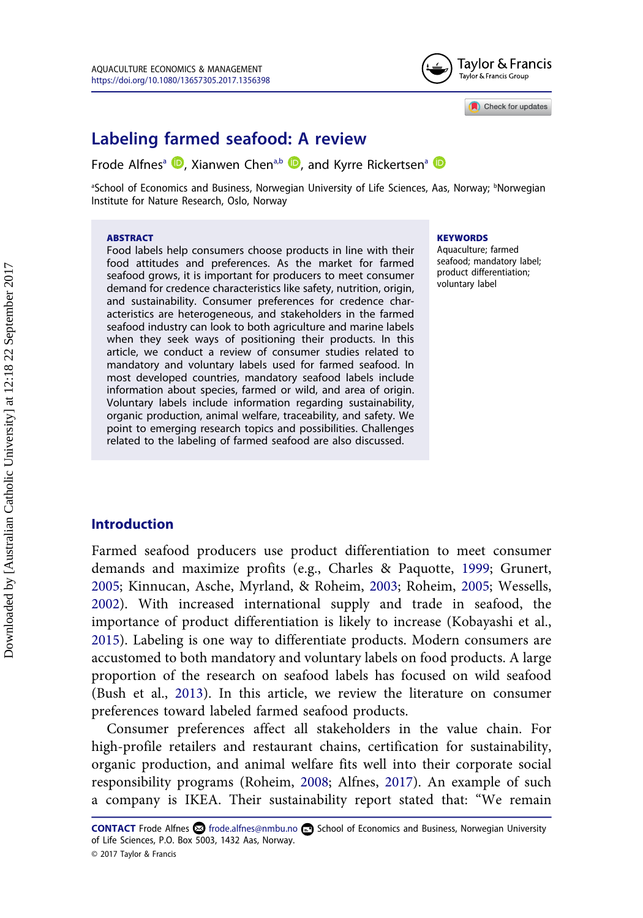

 $\Box$  Check for updates

## **Labeling farmed seafood: A review**

FrodeAlfnes<sup>a</sup> <sup>(D</sup>, Xianwen Chen<sup>a,b</sup> <sup>(D</sup>, and Kyrre Rickertsen<sup>a</sup> <sup>(D</sup>)

<sup>a</sup>School of Economics and Business, Norwegian University of Life Sciences, Aas, Norway; <sup>b</sup>Norwegian Institute for Nature Research, Oslo, Norway

#### **ABSTRACT**

Food labels help consumers choose products in line with their food attitudes and preferences. As the market for farmed seafood grows, it is important for producers to meet consumer demand for credence characteristics like safety, nutrition, origin, and sustainability. Consumer preferences for credence characteristics are heterogeneous, and stakeholders in the farmed seafood industry can look to both agriculture and marine labels when they seek ways of positioning their products. In this article, we conduct a review of consumer studies related to mandatory and voluntary labels used for farmed seafood. In most developed countries, mandatory seafood labels include information about species, farmed or wild, and area of origin. Voluntary labels include information regarding sustainability, organic production, animal welfare, traceability, and safety. We point to emerging research topics and possibilities. Challenges related to the labeling of farmed seafood are also discussed.

#### **KEYWORDS**

Aquaculture; farmed seafood; mandatory label; product differentiation; voluntary label

## **Introduction**

Farmed seafood producers use product differentiation to meet consumer demands and maximize profits (e.g., Charles & Paquotte, [1999;](#page-20-0) Grunert, [2005;](#page-22-0) Kinnucan, Asche, Myrland, & Roheim, [2003;](#page-23-0) Roheim, [2005;](#page-24-0) Wessells, [2002\)](#page-26-0). With increased international supply and trade in seafood, the importance of product differentiation is likely to increase (Kobayashi et al., [2015\)](#page-23-0). Labeling is one way to differentiate products. Modern consumers are accustomed to both mandatory and voluntary labels on food products. A large proportion of the research on seafood labels has focused on wild seafood (Bush et al., [2013](#page-20-0)). In this article, we review the literature on consumer preferences toward labeled farmed seafood products.

Consumer preferences affect all stakeholders in the value chain. For high-profile retailers and restaurant chains, certification for sustainability, organic production, and animal welfare fits well into their corporate social responsibility programs (Roheim, [2008](#page-24-0); Alfnes, [2017\)](#page-19-0). An example of such a company is IKEA. Their sustainability report stated that: "We remain

**CONTACT** Frode Alfnes **S** [frode.alfnes@nmbu.no](mailto:frode.alfnes@nmbu.no) **S** School of Economics and Business, Norwegian University of Life Sciences, P.O. Box 5003, 1432 Aas, Norway. © 2017 Taylor & Francis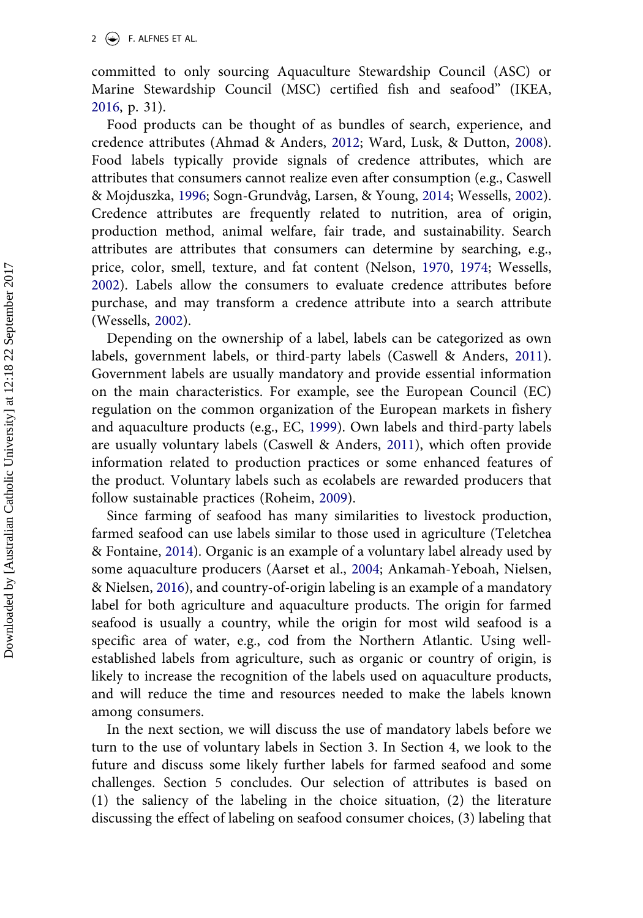committed to only sourcing Aquaculture Stewardship Council (ASC) or Marine Stewardship Council (MSC) certified fish and seafood" (IKEA, [2016,](#page-22-0) p. 31).

Food products can be thought of as bundles of search, experience, and credence attributes (Ahmad & Anders, [2012](#page-19-0); Ward, Lusk, & Dutton, [2008\)](#page-26-0). Food labels typically provide signals of credence attributes, which are attributes that consumers cannot realize even after consumption (e.g., Caswell & Mojduszka, [1996;](#page-20-0) Sogn-Grundvåg, Larsen, & Young, [2014;](#page-25-0) Wessells, [2002\)](#page-26-0). Credence attributes are frequently related to nutrition, area of origin, production method, animal welfare, fair trade, and sustainability. Search attributes are attributes that consumers can determine by searching, e.g., price, color, smell, texture, and fat content (Nelson, [1970,](#page-23-0) [1974;](#page-23-0) Wessells, [2002\)](#page-26-0). Labels allow the consumers to evaluate credence attributes before purchase, and may transform a credence attribute into a search attribute (Wessells, [2002](#page-26-0)).

Depending on the ownership of a label, labels can be categorized as own labels, government labels, or third-party labels (Caswell & Anders, [2011\)](#page-20-0). Government labels are usually mandatory and provide essential information on the main characteristics. For example, see the European Council (EC) regulation on the common organization of the European markets in fishery and aquaculture products (e.g., EC, [1999](#page-21-0)). Own labels and third-party labels are usually voluntary labels (Caswell & Anders, [2011](#page-20-0)), which often provide information related to production practices or some enhanced features of the product. Voluntary labels such as ecolabels are rewarded producers that follow sustainable practices (Roheim, [2009](#page-24-0)).

Since farming of seafood has many similarities to livestock production, farmed seafood can use labels similar to those used in agriculture (Teletchea & Fontaine, [2014\)](#page-25-0). Organic is an example of a voluntary label already used by some aquaculture producers (Aarset et al., [2004;](#page-19-0) Ankamah-Yeboah, Nielsen, & Nielsen, [2016\)](#page-19-0), and country-of-origin labeling is an example of a mandatory label for both agriculture and aquaculture products. The origin for farmed seafood is usually a country, while the origin for most wild seafood is a specific area of water, e.g., cod from the Northern Atlantic. Using wellestablished labels from agriculture, such as organic or country of origin, is likely to increase the recognition of the labels used on aquaculture products, and will reduce the time and resources needed to make the labels known among consumers.

In the next section, we will discuss the use of mandatory labels before we turn to the use of voluntary labels in Section 3. In Section 4, we look to the future and discuss some likely further labels for farmed seafood and some challenges. Section 5 concludes. Our selection of attributes is based on (1) the saliency of the labeling in the choice situation, (2) the literature discussing the effect of labeling on seafood consumer choices, (3) labeling that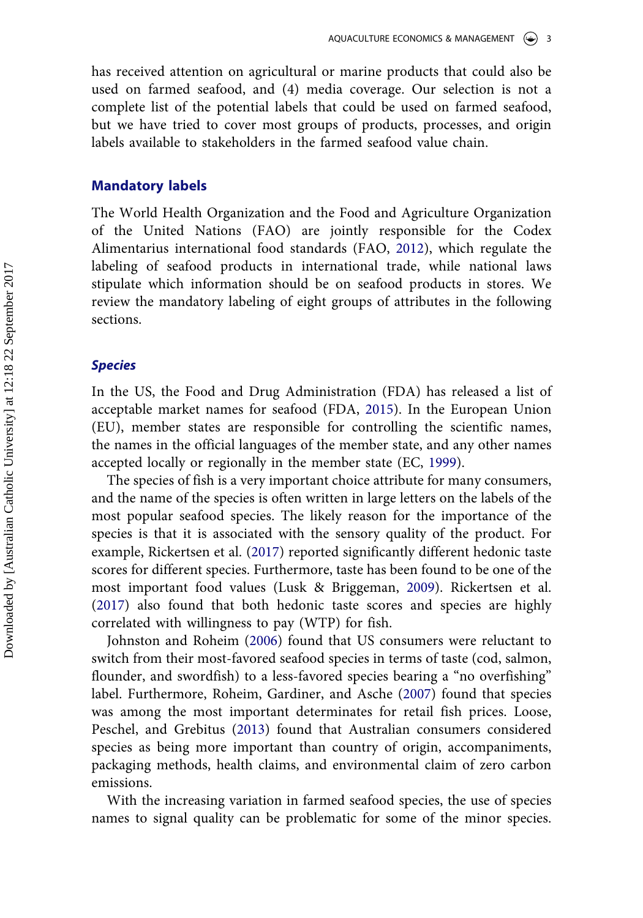has received attention on agricultural or marine products that could also be used on farmed seafood, and (4) media coverage. Our selection is not a complete list of the potential labels that could be used on farmed seafood, but we have tried to cover most groups of products, processes, and origin labels available to stakeholders in the farmed seafood value chain.

#### **Mandatory labels**

The World Health Organization and the Food and Agriculture Organization of the United Nations (FAO) are jointly responsible for the Codex Alimentarius international food standards (FAO, [2012](#page-21-0)), which regulate the labeling of seafood products in international trade, while national laws stipulate which information should be on seafood products in stores. We review the mandatory labeling of eight groups of attributes in the following sections.

#### *Species*

In the US, the Food and Drug Administration (FDA) has released a list of acceptable market names for seafood (FDA, [2015](#page-22-0)). In the European Union (EU), member states are responsible for controlling the scientific names, the names in the official languages of the member state, and any other names accepted locally or regionally in the member state (EC, [1999\)](#page-21-0).

The species of fish is a very important choice attribute for many consumers, and the name of the species is often written in large letters on the labels of the most popular seafood species. The likely reason for the importance of the species is that it is associated with the sensory quality of the product. For example, Rickertsen et al. ([2017\)](#page-24-0) reported significantly different hedonic taste scores for different species. Furthermore, taste has been found to be one of the most important food values (Lusk & Briggeman, [2009\)](#page-23-0). Rickertsen et al. ([2017\)](#page-24-0) also found that both hedonic taste scores and species are highly correlated with willingness to pay (WTP) for fish.

Johnston and Roheim ([2006\)](#page-23-0) found that US consumers were reluctant to switch from their most-favored seafood species in terms of taste (cod, salmon, flounder, and swordfish) to a less-favored species bearing a "no overfishing" label. Furthermore, Roheim, Gardiner, and Asche ([2007\)](#page-25-0) found that species was among the most important determinates for retail fish prices. Loose, Peschel, and Grebitus ([2013\)](#page-23-0) found that Australian consumers considered species as being more important than country of origin, accompaniments, packaging methods, health claims, and environmental claim of zero carbon emissions.

With the increasing variation in farmed seafood species, the use of species names to signal quality can be problematic for some of the minor species.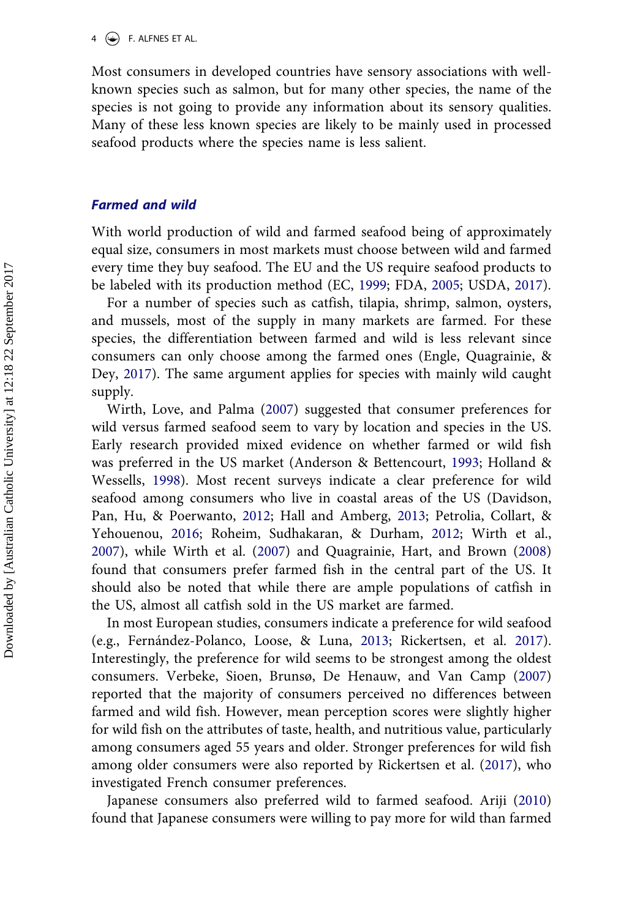Most consumers in developed countries have sensory associations with wellknown species such as salmon, but for many other species, the name of the species is not going to provide any information about its sensory qualities. Many of these less known species are likely to be mainly used in processed seafood products where the species name is less salient.

#### *Farmed and wild*

With world production of wild and farmed seafood being of approximately equal size, consumers in most markets must choose between wild and farmed every time they buy seafood. The EU and the US require seafood products to be labeled with its production method (EC, [1999](#page-21-0); FDA, [2005](#page-21-0); USDA, [2017](#page-26-0)).

For a number of species such as catfish, tilapia, shrimp, salmon, oysters, and mussels, most of the supply in many markets are farmed. For these species, the differentiation between farmed and wild is less relevant since consumers can only choose among the farmed ones (Engle, Quagrainie, & Dey, [2017\)](#page-21-0). The same argument applies for species with mainly wild caught supply.

Wirth, Love, and Palma [\(2007](#page-26-0)) suggested that consumer preferences for wild versus farmed seafood seem to vary by location and species in the US. Early research provided mixed evidence on whether farmed or wild fish was preferred in the US market (Anderson & Bettencourt, [1993;](#page-19-0) Holland & Wessells, [1998](#page-22-0)). Most recent surveys indicate a clear preference for wild seafood among consumers who live in coastal areas of the US (Davidson, Pan, Hu, & Poerwanto, [2012;](#page-21-0) Hall and Amberg, [2013;](#page-22-0) Petrolia, Collart, & Yehouenou, [2016](#page-24-0); Roheim, Sudhakaran, & Durham, [2012](#page-21-0); Wirth et al., [2007\)](#page-26-0), while Wirth et al. ([2007\)](#page-26-0) and Quagrainie, Hart, and Brown [\(2008](#page-24-0)) found that consumers prefer farmed fish in the central part of the US. It should also be noted that while there are ample populations of catfish in the US, almost all catfish sold in the US market are farmed.

In most European studies, consumers indicate a preference for wild seafood (e.g., Fernández-Polanco, Loose, & Luna, [2013;](#page-21-0) Rickertsen, et al. [2017\)](#page-24-0). Interestingly, the preference for wild seems to be strongest among the oldest consumers. Verbeke, Sioen, Brunsø, De Henauw, and Van Camp [\(2007](#page-26-0)) reported that the majority of consumers perceived no differences between farmed and wild fish. However, mean perception scores were slightly higher for wild fish on the attributes of taste, health, and nutritious value, particularly among consumers aged 55 years and older. Stronger preferences for wild fish among older consumers were also reported by Rickertsen et al. ([2017\)](#page-24-0), who investigated French consumer preferences.

Japanese consumers also preferred wild to farmed seafood. Ariji [\(2010](#page-19-0)) found that Japanese consumers were willing to pay more for wild than farmed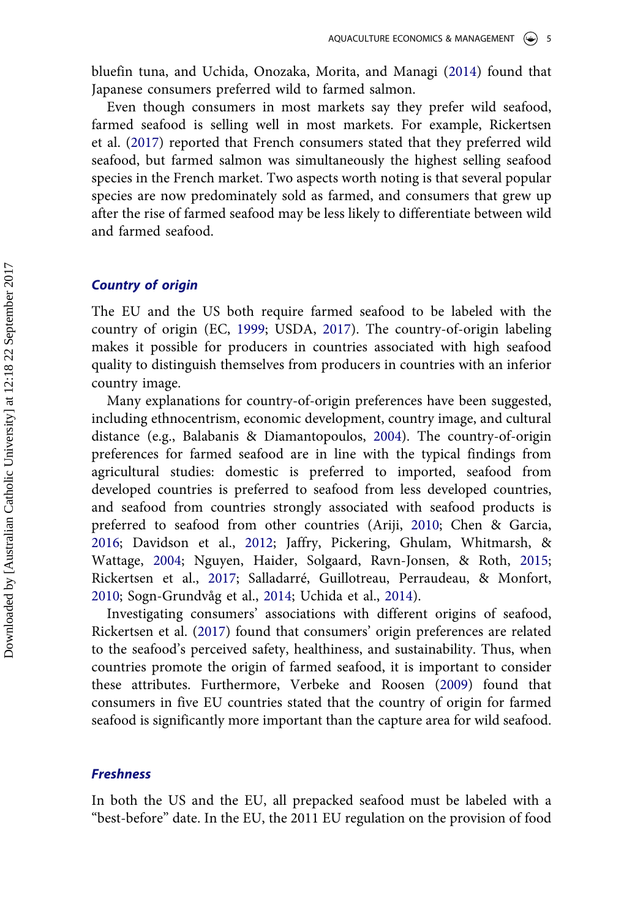bluefin tuna, and Uchida, Onozaka, Morita, and Managi ([2014\)](#page-25-0) found that Japanese consumers preferred wild to farmed salmon.

Even though consumers in most markets say they prefer wild seafood, farmed seafood is selling well in most markets. For example, Rickertsen et al. ([2017\)](#page-24-0) reported that French consumers stated that they preferred wild seafood, but farmed salmon was simultaneously the highest selling seafood species in the French market. Two aspects worth noting is that several popular species are now predominately sold as farmed, and consumers that grew up after the rise of farmed seafood may be less likely to differentiate between wild and farmed seafood.

## *Country of origin*

The EU and the US both require farmed seafood to be labeled with the country of origin (EC, [1999;](#page-21-0) USDA, [2017](#page-26-0)). The country-of-origin labeling makes it possible for producers in countries associated with high seafood quality to distinguish themselves from producers in countries with an inferior country image.

Many explanations for country-of-origin preferences have been suggested, including ethnocentrism, economic development, country image, and cultural distance (e.g., Balabanis & Diamantopoulos, [2004\)](#page-20-0). The country-of-origin preferences for farmed seafood are in line with the typical findings from agricultural studies: domestic is preferred to imported, seafood from developed countries is preferred to seafood from less developed countries, and seafood from countries strongly associated with seafood products is preferred to seafood from other countries (Ariji, [2010](#page-19-0); Chen & Garcia, [2016;](#page-20-0) Davidson et al., [2012](#page-21-0); Jaffry, Pickering, Ghulam, Whitmarsh, & Wattage, [2004](#page-22-0); Nguyen, Haider, Solgaard, Ravn-Jonsen, & Roth, [2015;](#page-24-0) Rickertsen et al., [2017](#page-24-0); Salladarré, Guillotreau, Perraudeau, & Monfort, [2010;](#page-25-0) Sogn-Grundvåg et al., [2014;](#page-25-0) Uchida et al., [2014\)](#page-25-0).

Investigating consumers' associations with different origins of seafood, Rickertsen et al. ([2017\)](#page-24-0) found that consumers' origin preferences are related to the seafood's perceived safety, healthiness, and sustainability. Thus, when countries promote the origin of farmed seafood, it is important to consider these attributes. Furthermore, Verbeke and Roosen ([2009\)](#page-26-0) found that consumers in five EU countries stated that the country of origin for farmed seafood is significantly more important than the capture area for wild seafood.

#### *Freshness*

In both the US and the EU, all prepacked seafood must be labeled with a "best-before" date. In the EU, the 2011 EU regulation on the provision of food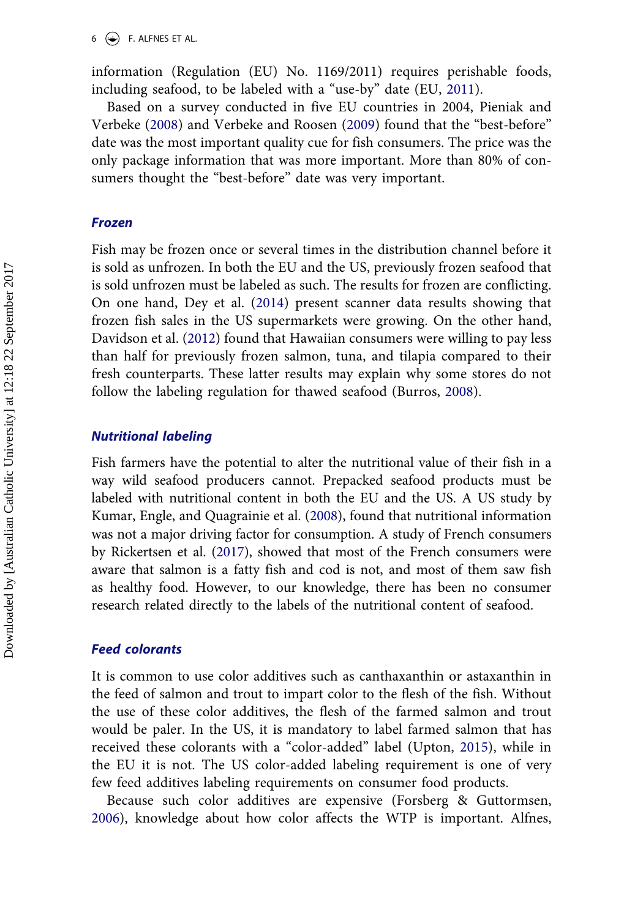information (Regulation (EU) No. 1169/2011) requires perishable foods, including seafood, to be labeled with a "use-by" date (EU, [2011](#page-21-0)).

Based on a survey conducted in five EU countries in 2004, Pieniak and Verbeke ([2008\)](#page-24-0) and Verbeke and Roosen ([2009\)](#page-26-0) found that the "best-before" date was the most important quality cue for fish consumers. The price was the only package information that was more important. More than 80% of consumers thought the "best-before" date was very important.

## *Frozen*

Fish may be frozen once or several times in the distribution channel before it is sold as unfrozen. In both the EU and the US, previously frozen seafood that is sold unfrozen must be labeled as such. The results for frozen are conflicting. On one hand, Dey et al. ([2014\)](#page-21-0) present scanner data results showing that frozen fish sales in the US supermarkets were growing. On the other hand, Davidson et al. ([2012\)](#page-21-0) found that Hawaiian consumers were willing to pay less than half for previously frozen salmon, tuna, and tilapia compared to their fresh counterparts. These latter results may explain why some stores do not follow the labeling regulation for thawed seafood (Burros, [2008\)](#page-20-0).

## *Nutritional labeling*

Fish farmers have the potential to alter the nutritional value of their fish in a way wild seafood producers cannot. Prepacked seafood products must be labeled with nutritional content in both the EU and the US. A US study by Kumar, Engle, and Quagrainie et al. ([2008\)](#page-23-0), found that nutritional information was not a major driving factor for consumption. A study of French consumers by Rickertsen et al. ([2017](#page-24-0)), showed that most of the French consumers were aware that salmon is a fatty fish and cod is not, and most of them saw fish as healthy food. However, to our knowledge, there has been no consumer research related directly to the labels of the nutritional content of seafood.

## *Feed colorants*

It is common to use color additives such as canthaxanthin or astaxanthin in the feed of salmon and trout to impart color to the flesh of the fish. Without the use of these color additives, the flesh of the farmed salmon and trout would be paler. In the US, it is mandatory to label farmed salmon that has received these colorants with a "color-added" label (Upton, [2015\)](#page-26-0), while in the EU it is not. The US color-added labeling requirement is one of very few feed additives labeling requirements on consumer food products.

Because such color additives are expensive (Forsberg & Guttormsen, [2006\)](#page-22-0), knowledge about how color affects the WTP is important. Alfnes,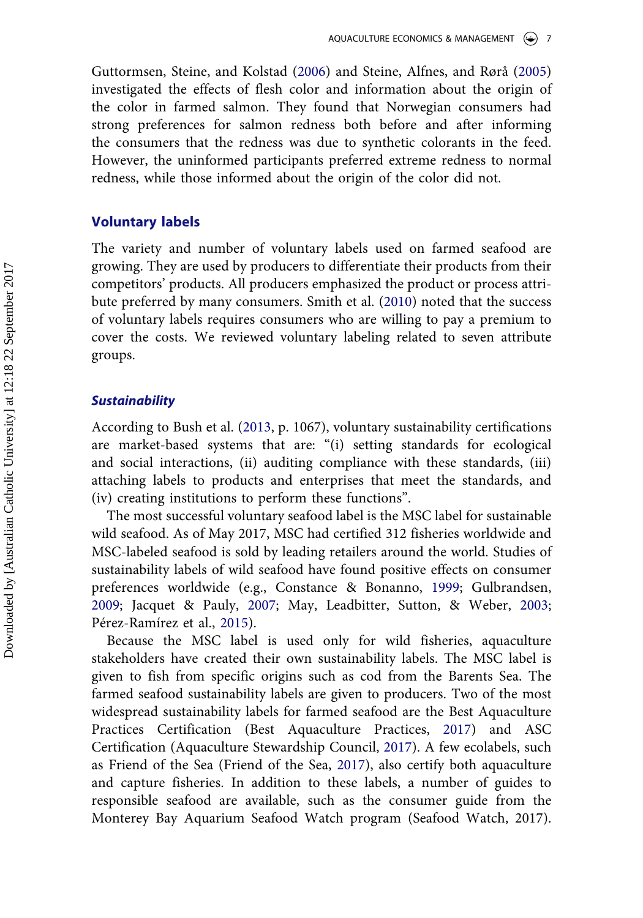Guttormsen, Steine, and Kolstad [\(2006](#page-19-0)) and Steine, Alfnes, and Rørå [\(2005](#page-25-0)) investigated the effects of flesh color and information about the origin of the color in farmed salmon. They found that Norwegian consumers had strong preferences for salmon redness both before and after informing the consumers that the redness was due to synthetic colorants in the feed. However, the uninformed participants preferred extreme redness to normal redness, while those informed about the origin of the color did not.

#### **Voluntary labels**

The variety and number of voluntary labels used on farmed seafood are growing. They are used by producers to differentiate their products from their competitors' products. All producers emphasized the product or process attribute preferred by many consumers. Smith et al. ([2010\)](#page-25-0) noted that the success of voluntary labels requires consumers who are willing to pay a premium to cover the costs. We reviewed voluntary labeling related to seven attribute groups.

## *Sustainability*

According to Bush et al. [\(2013](#page-20-0), p. 1067), voluntary sustainability certifications are market-based systems that are: "(i) setting standards for ecological and social interactions, (ii) auditing compliance with these standards, (iii) attaching labels to products and enterprises that meet the standards, and (iv) creating institutions to perform these functions".

The most successful voluntary seafood label is the MSC label for sustainable wild seafood. As of May 2017, MSC had certified 312 fisheries worldwide and MSC-labeled seafood is sold by leading retailers around the world. Studies of sustainability labels of wild seafood have found positive effects on consumer preferences worldwide (e.g., Constance & Bonanno, [1999](#page-21-0); Gulbrandsen, [2009;](#page-22-0) Jacquet & Pauly, [2007](#page-22-0); May, Leadbitter, Sutton, & Weber, [2003;](#page-23-0) Pérez-Ramírez et al., [2015\)](#page-24-0).

Because the MSC label is used only for wild fisheries, aquaculture stakeholders have created their own sustainability labels. The MSC label is given to fish from specific origins such as cod from the Barents Sea. The farmed seafood sustainability labels are given to producers. Two of the most widespread sustainability labels for farmed seafood are the Best Aquaculture Practices Certification (Best Aquaculture Practices, [2017](#page-20-0)) and ASC Certification (Aquaculture Stewardship Council, [2017\)](#page-19-0). A few ecolabels, such as Friend of the Sea (Friend of the Sea, [2017](#page-22-0)), also certify both aquaculture and capture fisheries. In addition to these labels, a number of guides to responsible seafood are available, such as the consumer guide from the Monterey Bay Aquarium Seafood Watch program (Seafood Watch, 2017).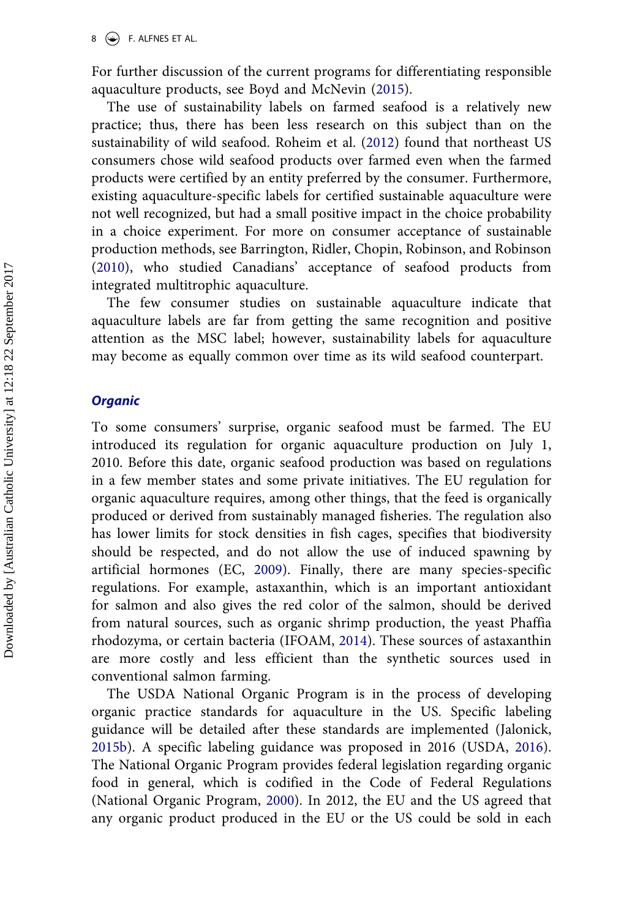$8 \leftrightarrow$  F. ALFNES ET AL.

For further discussion of the current programs for differentiating responsible aquaculture products, see Boyd and McNevin ([2015\)](#page-20-0).

The use of sustainability labels on farmed seafood is a relatively new practice; thus, there has been less research on this subject than on the sustainability of wild seafood. Roheim et al. [\(2012](#page-25-0)) found that northeast US consumers chose wild seafood products over farmed even when the farmed products were certified by an entity preferred by the consumer. Furthermore, existing aquaculture-specific labels for certified sustainable aquaculture were not well recognized, but had a small positive impact in the choice probability in a choice experiment. For more on consumer acceptance of sustainable production methods, see Barrington, Ridler, Chopin, Robinson, and Robinson ([2010\)](#page-20-0), who studied Canadians' acceptance of seafood products from integrated multitrophic aquaculture.

The few consumer studies on sustainable aquaculture indicate that aquaculture labels are far from getting the same recognition and positive attention as the MSC label; however, sustainability labels for aquaculture may become as equally common over time as its wild seafood counterpart.

#### *Organic*

To some consumers' surprise, organic seafood must be farmed. The EU introduced its regulation for organic aquaculture production on July 1, 2010. Before this date, organic seafood production was based on regulations in a few member states and some private initiatives. The EU regulation for organic aquaculture requires, among other things, that the feed is organically produced or derived from sustainably managed fisheries. The regulation also has lower limits for stock densities in fish cages, specifies that biodiversity should be respected, and do not allow the use of induced spawning by artificial hormones (EC, [2009](#page-21-0)). Finally, there are many species-specific regulations. For example, astaxanthin, which is an important antioxidant for salmon and also gives the red color of the salmon, should be derived from natural sources, such as organic shrimp production, the yeast Phaffia rhodozyma, or certain bacteria (IFOAM, [2014\)](#page-22-0). These sources of astaxanthin are more costly and less efficient than the synthetic sources used in conventional salmon farming.

The USDA National Organic Program is in the process of developing organic practice standards for aquaculture in the US. Specific labeling guidance will be detailed after these standards are implemented (Jalonick, [2015b\)](#page-23-0). A specific labeling guidance was proposed in 2016 (USDA, [2016\)](#page-26-0). The National Organic Program provides federal legislation regarding organic food in general, which is codified in the Code of Federal Regulations (National Organic Program, [2000\)](#page-23-0). In 2012, the EU and the US agreed that any organic product produced in the EU or the US could be sold in each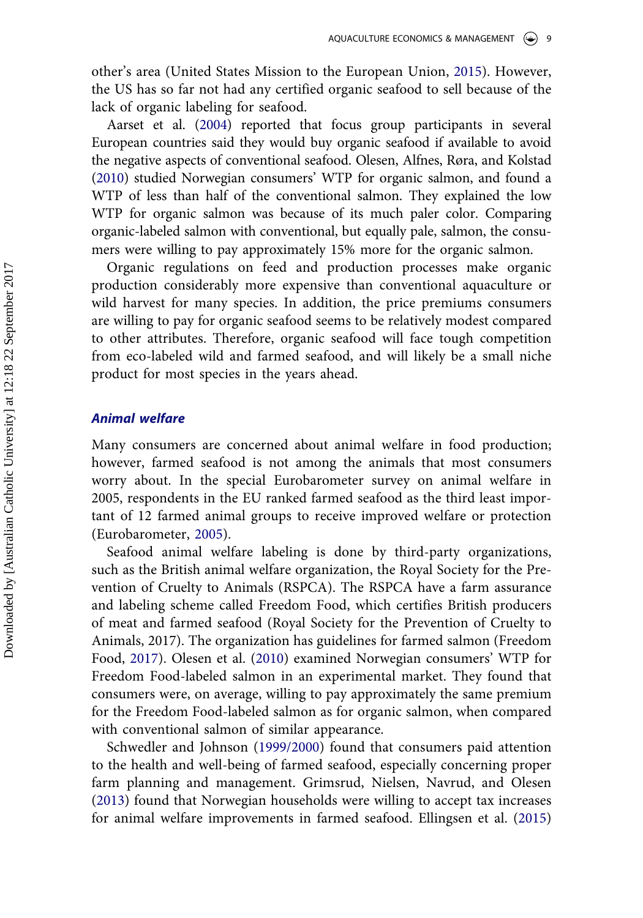other's area (United States Mission to the European Union, [2015\)](#page-26-0). However, the US has so far not had any certified organic seafood to sell because of the lack of organic labeling for seafood.

Aarset et al. [\(2004\)](#page-19-0) reported that focus group participants in several European countries said they would buy organic seafood if available to avoid the negative aspects of conventional seafood. Olesen, Alfnes, Røra, and Kolstad ([2010](#page-24-0)) studied Norwegian consumers' WTP for organic salmon, and found a WTP of less than half of the conventional salmon. They explained the low WTP for organic salmon was because of its much paler color. Comparing organic-labeled salmon with conventional, but equally pale, salmon, the consumers were willing to pay approximately 15% more for the organic salmon.

Organic regulations on feed and production processes make organic production considerably more expensive than conventional aquaculture or wild harvest for many species. In addition, the price premiums consumers are willing to pay for organic seafood seems to be relatively modest compared to other attributes. Therefore, organic seafood will face tough competition from eco-labeled wild and farmed seafood, and will likely be a small niche product for most species in the years ahead.

#### *Animal welfare*

Many consumers are concerned about animal welfare in food production; however, farmed seafood is not among the animals that most consumers worry about. In the special Eurobarometer survey on animal welfare in 2005, respondents in the EU ranked farmed seafood as the third least important of 12 farmed animal groups to receive improved welfare or protection (Eurobarometer, [2005\)](#page-21-0).

Seafood animal welfare labeling is done by third-party organizations, such as the British animal welfare organization, the Royal Society for the Prevention of Cruelty to Animals (RSPCA). The RSPCA have a farm assurance and labeling scheme called Freedom Food, which certifies British producers of meat and farmed seafood (Royal Society for the Prevention of Cruelty to Animals, 2017). The organization has guidelines for farmed salmon (Freedom Food, [2017\)](#page-22-0). Olesen et al. [\(2010](#page-24-0)) examined Norwegian consumers' WTP for Freedom Food-labeled salmon in an experimental market. They found that consumers were, on average, willing to pay approximately the same premium for the Freedom Food-labeled salmon as for organic salmon, when compared with conventional salmon of similar appearance.

Schwedler and Johnson ([1999/2000](#page-25-0)) found that consumers paid attention to the health and well-being of farmed seafood, especially concerning proper farm planning and management. Grimsrud, Nielsen, Navrud, and Olesen ([2013\)](#page-22-0) found that Norwegian households were willing to accept tax increases for animal welfare improvements in farmed seafood. Ellingsen et al. [\(2015](#page-21-0))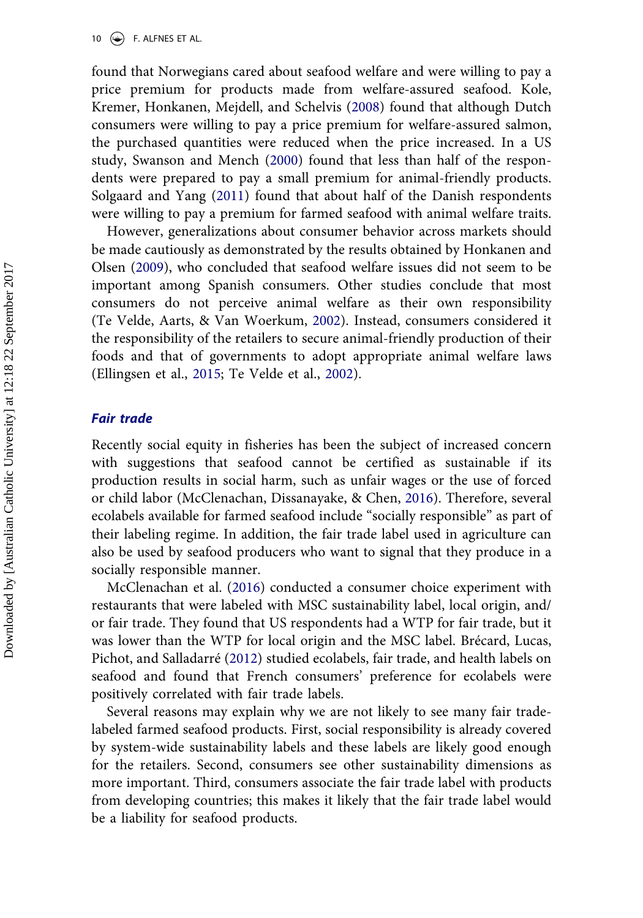10  $\leftrightarrow$  F. ALFNES ET AL.

found that Norwegians cared about seafood welfare and were willing to pay a price premium for products made from welfare-assured seafood. Kole, Kremer, Honkanen, Mejdell, and Schelvis ([2008\)](#page-23-0) found that although Dutch consumers were willing to pay a price premium for welfare-assured salmon, the purchased quantities were reduced when the price increased. In a US study, Swanson and Mench ([2000\)](#page-25-0) found that less than half of the respondents were prepared to pay a small premium for animal-friendly products. Solgaard and Yang ([2011\)](#page-25-0) found that about half of the Danish respondents were willing to pay a premium for farmed seafood with animal welfare traits.

However, generalizations about consumer behavior across markets should be made cautiously as demonstrated by the results obtained by Honkanen and Olsen [\(2009](#page-22-0)), who concluded that seafood welfare issues did not seem to be important among Spanish consumers. Other studies conclude that most consumers do not perceive animal welfare as their own responsibility (Te Velde, Aarts, & Van Woerkum, [2002\)](#page-25-0). Instead, consumers considered it the responsibility of the retailers to secure animal-friendly production of their foods and that of governments to adopt appropriate animal welfare laws (Ellingsen et al., [2015](#page-21-0); Te Velde et al., [2002\)](#page-25-0).

## *Fair trade*

Recently social equity in fisheries has been the subject of increased concern with suggestions that seafood cannot be certified as sustainable if its production results in social harm, such as unfair wages or the use of forced or child labor (McClenachan, Dissanayake, & Chen, [2016\)](#page-23-0). Therefore, several ecolabels available for farmed seafood include "socially responsible" as part of their labeling regime. In addition, the fair trade label used in agriculture can also be used by seafood producers who want to signal that they produce in a socially responsible manner.

McClenachan et al. ([2016\)](#page-23-0) conducted a consumer choice experiment with restaurants that were labeled with MSC sustainability label, local origin, and/ or fair trade. They found that US respondents had a WTP for fair trade, but it was lower than the WTP for local origin and the MSC label. Brécard, Lucas, Pichot, and Salladarré ([2012\)](#page-20-0) studied ecolabels, fair trade, and health labels on seafood and found that French consumers' preference for ecolabels were positively correlated with fair trade labels.

Several reasons may explain why we are not likely to see many fair tradelabeled farmed seafood products. First, social responsibility is already covered by system-wide sustainability labels and these labels are likely good enough for the retailers. Second, consumers see other sustainability dimensions as more important. Third, consumers associate the fair trade label with products from developing countries; this makes it likely that the fair trade label would be a liability for seafood products.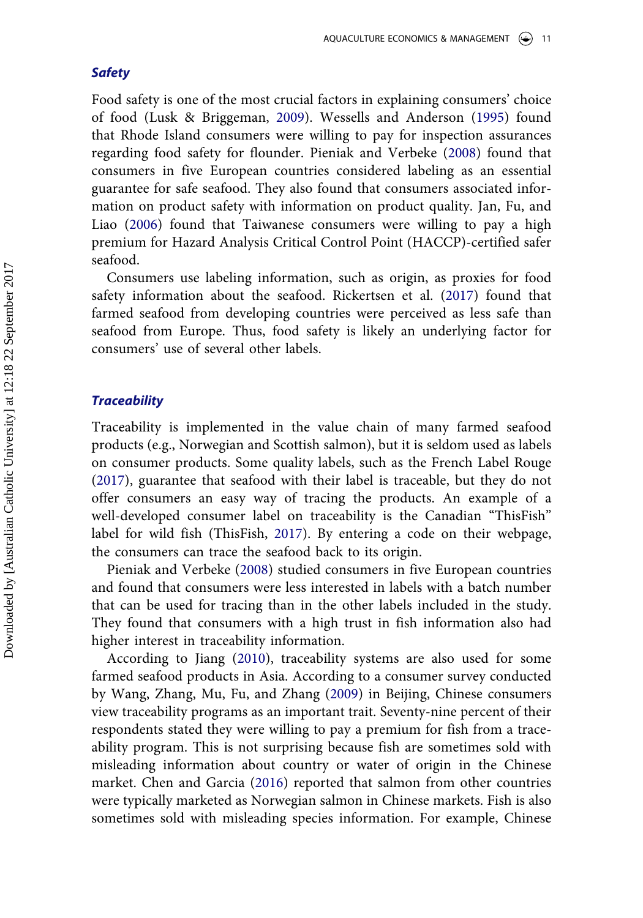## *Safety*

Food safety is one of the most crucial factors in explaining consumers' choice of food (Lusk & Briggeman, [2009\)](#page-23-0). Wessells and Anderson [\(1995](#page-26-0)) found that Rhode Island consumers were willing to pay for inspection assurances regarding food safety for flounder. Pieniak and Verbeke [\(2008](#page-24-0)) found that consumers in five European countries considered labeling as an essential guarantee for safe seafood. They also found that consumers associated information on product safety with information on product quality. Jan, Fu, and Liao [\(2006](#page-23-0)) found that Taiwanese consumers were willing to pay a high premium for Hazard Analysis Critical Control Point (HACCP)-certified safer seafood.

Consumers use labeling information, such as origin, as proxies for food safety information about the seafood. Rickertsen et al. [\(2017](#page-24-0)) found that farmed seafood from developing countries were perceived as less safe than seafood from Europe. Thus, food safety is likely an underlying factor for consumers' use of several other labels.

## *Traceability*

Traceability is implemented in the value chain of many farmed seafood products (e.g., Norwegian and Scottish salmon), but it is seldom used as labels on consumer products. Some quality labels, such as the French Label Rouge ([2017\)](#page-23-0), guarantee that seafood with their label is traceable, but they do not offer consumers an easy way of tracing the products. An example of a well-developed consumer label on traceability is the Canadian "ThisFish" label for wild fish (ThisFish, [2017](#page-25-0)). By entering a code on their webpage, the consumers can trace the seafood back to its origin.

Pieniak and Verbeke [\(2008](#page-24-0)) studied consumers in five European countries and found that consumers were less interested in labels with a batch number that can be used for tracing than in the other labels included in the study. They found that consumers with a high trust in fish information also had higher interest in traceability information.

According to Jiang [\(2010](#page-23-0)), traceability systems are also used for some farmed seafood products in Asia. According to a consumer survey conducted by Wang, Zhang, Mu, Fu, and Zhang ([2009\)](#page-26-0) in Beijing, Chinese consumers view traceability programs as an important trait. Seventy-nine percent of their respondents stated they were willing to pay a premium for fish from a traceability program. This is not surprising because fish are sometimes sold with misleading information about country or water of origin in the Chinese market. Chen and Garcia [\(2016](#page-20-0)) reported that salmon from other countries were typically marketed as Norwegian salmon in Chinese markets. Fish is also sometimes sold with misleading species information. For example, Chinese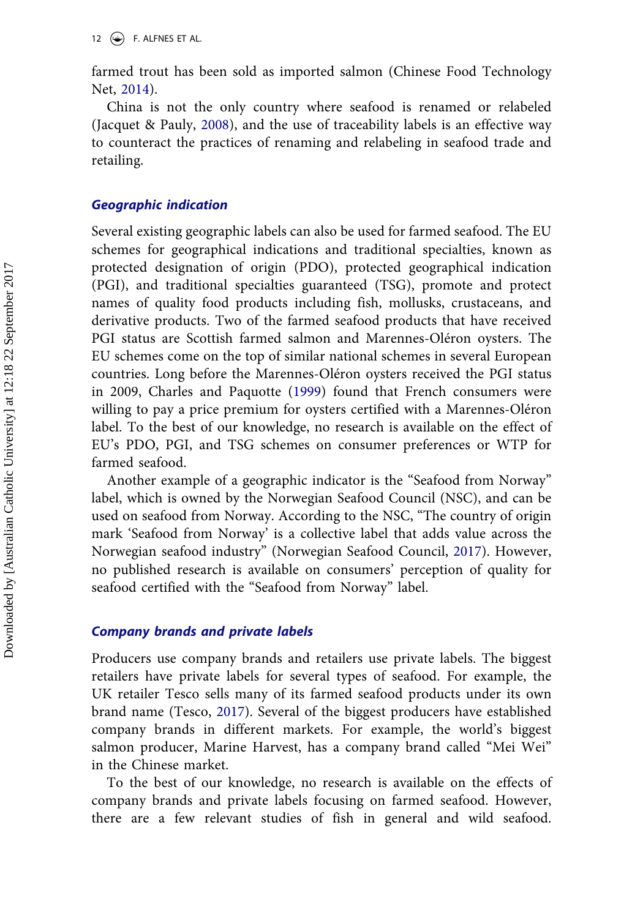farmed trout has been sold as imported salmon (Chinese Food Technology Net, [2014](#page-21-0)).

China is not the only country where seafood is renamed or relabeled (Jacquet & Pauly, [2008\)](#page-22-0), and the use of traceability labels is an effective way to counteract the practices of renaming and relabeling in seafood trade and retailing.

## *Geographic indication*

Several existing geographic labels can also be used for farmed seafood. The EU schemes for geographical indications and traditional specialties, known as protected designation of origin (PDO), protected geographical indication (PGI), and traditional specialties guaranteed (TSG), promote and protect names of quality food products including fish, mollusks, crustaceans, and derivative products. Two of the farmed seafood products that have received PGI status are Scottish farmed salmon and Marennes-Oléron oysters. The EU schemes come on the top of similar national schemes in several European countries. Long before the Marennes-Oléron oysters received the PGI status in 2009, Charles and Paquotte ([1999\)](#page-20-0) found that French consumers were willing to pay a price premium for oysters certified with a Marennes-Oléron label. To the best of our knowledge, no research is available on the effect of EU's PDO, PGI, and TSG schemes on consumer preferences or WTP for farmed seafood.

Another example of a geographic indicator is the "Seafood from Norway" label, which is owned by the Norwegian Seafood Council (NSC), and can be used on seafood from Norway. According to the NSC, "The country of origin mark 'Seafood from Norway' is a collective label that adds value across the Norwegian seafood industry" (Norwegian Seafood Council, [2017](#page-24-0)). However, no published research is available on consumers' perception of quality for seafood certified with the "Seafood from Norway" label.

#### *Company brands and private labels*

Producers use company brands and retailers use private labels. The biggest retailers have private labels for several types of seafood. For example, the UK retailer Tesco sells many of its farmed seafood products under its own brand name (Tesco, [2017\)](#page-25-0). Several of the biggest producers have established company brands in different markets. For example, the world's biggest salmon producer, Marine Harvest, has a company brand called "Mei Wei" in the Chinese market.

To the best of our knowledge, no research is available on the effects of company brands and private labels focusing on farmed seafood. However, there are a few relevant studies of fish in general and wild seafood.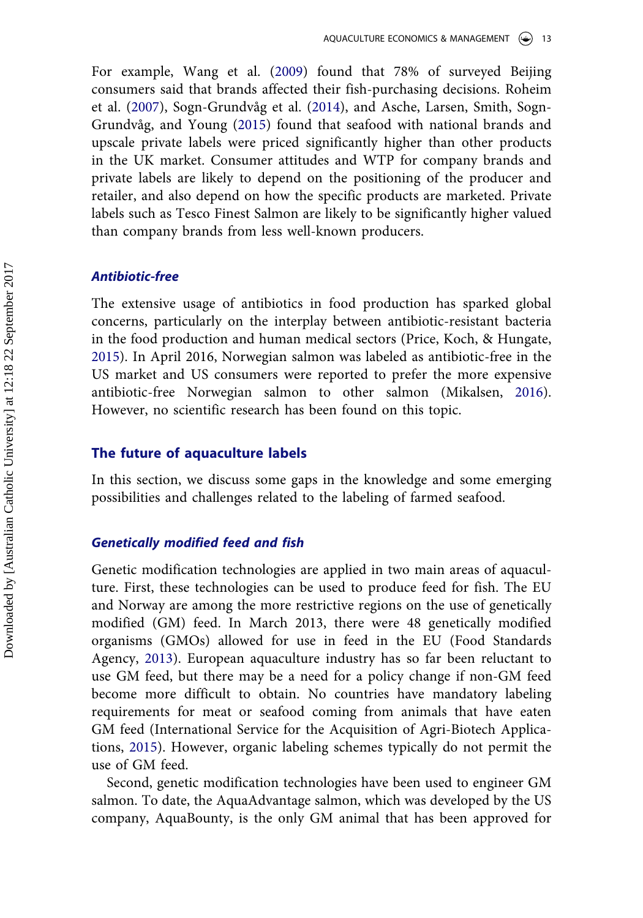For example, Wang et al. [\(2009](#page-26-0)) found that 78% of surveyed Beijing consumers said that brands affected their fish-purchasing decisions. Roheim et al. ([2007\)](#page-25-0), Sogn-Grundvåg et al. ([2014\)](#page-25-0), and Asche, Larsen, Smith, Sogn-Grundvåg, and Young [\(2015](#page-20-0)) found that seafood with national brands and upscale private labels were priced significantly higher than other products in the UK market. Consumer attitudes and WTP for company brands and private labels are likely to depend on the positioning of the producer and retailer, and also depend on how the specific products are marketed. Private labels such as Tesco Finest Salmon are likely to be significantly higher valued than company brands from less well-known producers.

#### *Antibiotic-free*

The extensive usage of antibiotics in food production has sparked global concerns, particularly on the interplay between antibiotic-resistant bacteria in the food production and human medical sectors (Price, Koch, & Hungate, [2015\)](#page-24-0). In April 2016, Norwegian salmon was labeled as antibiotic-free in the US market and US consumers were reported to prefer the more expensive antibiotic-free Norwegian salmon to other salmon (Mikalsen, [2016\)](#page-23-0). However, no scientific research has been found on this topic.

## **The future of aquaculture labels**

In this section, we discuss some gaps in the knowledge and some emerging possibilities and challenges related to the labeling of farmed seafood.

#### *Genetically modified feed and fish*

Genetic modification technologies are applied in two main areas of aquaculture. First, these technologies can be used to produce feed for fish. The EU and Norway are among the more restrictive regions on the use of genetically modified (GM) feed. In March 2013, there were 48 genetically modified organisms (GMOs) allowed for use in feed in the EU (Food Standards Agency, [2013](#page-22-0)). European aquaculture industry has so far been reluctant to use GM feed, but there may be a need for a policy change if non-GM feed become more difficult to obtain. No countries have mandatory labeling requirements for meat or seafood coming from animals that have eaten GM feed (International Service for the Acquisition of Agri-Biotech Applications, [2015](#page-22-0)). However, organic labeling schemes typically do not permit the use of GM feed.

Second, genetic modification technologies have been used to engineer GM salmon. To date, the AquaAdvantage salmon, which was developed by the US company, AquaBounty, is the only GM animal that has been approved for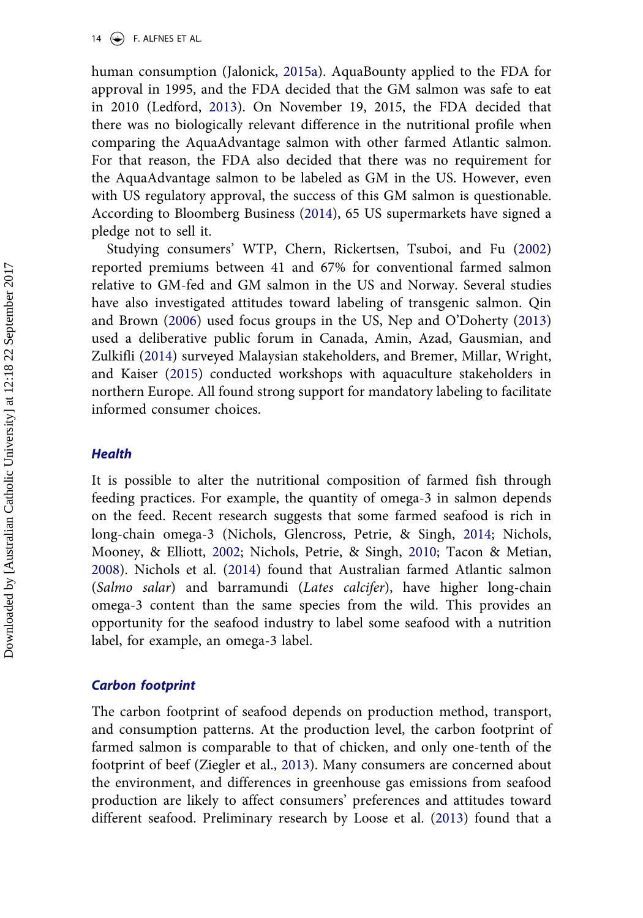14  $\left(\bigstar\right)$  F. ALFNES ET AL.

human consumption (Jalonick, [2015a](#page-22-0)). AquaBounty applied to the FDA for approval in 1995, and the FDA decided that the GM salmon was safe to eat in 2010 (Ledford, [2013\)](#page-23-0). On November 19, 2015, the FDA decided that there was no biologically relevant difference in the nutritional profile when comparing the AquaAdvantage salmon with other farmed Atlantic salmon. For that reason, the FDA also decided that there was no requirement for the AquaAdvantage salmon to be labeled as GM in the US. However, even with US regulatory approval, the success of this GM salmon is questionable. According to Bloomberg Business ([2014\)](#page-20-0), 65 US supermarkets have signed a pledge not to sell it.

Studying consumers' WTP, Chern, Rickertsen, Tsuboi, and Fu [\(2002](#page-20-0)) reported premiums between 41 and 67% for conventional farmed salmon relative to GM-fed and GM salmon in the US and Norway. Several studies have also investigated attitudes toward labeling of transgenic salmon. Qin and Brown [\(2006](#page-24-0)) used focus groups in the US, Nep and O'Doherty [\(2013](#page-24-0)) used a deliberative public forum in Canada, Amin, Azad, Gausmian, and Zulkifli [\(2014](#page-19-0)) surveyed Malaysian stakeholders, and Bremer, Millar, Wright, and Kaiser [\(2015](#page-20-0)) conducted workshops with aquaculture stakeholders in northern Europe. All found strong support for mandatory labeling to facilitate informed consumer choices.

## *Health*

It is possible to alter the nutritional composition of farmed fish through feeding practices. For example, the quantity of omega-3 in salmon depends on the feed. Recent research suggests that some farmed seafood is rich in long-chain omega-3 (Nichols, Glencross, Petrie, & Singh, [2014](#page-24-0); Nichols, Mooney, & Elliott, [2002](#page-24-0); Nichols, Petrie, & Singh, [2010](#page-24-0); Tacon & Metian, [2008\)](#page-25-0). Nichols et al. ([2014\)](#page-24-0) found that Australian farmed Atlantic salmon (*Salmo salar*) and barramundi (*Lates calcifer*), have higher long-chain omega-3 content than the same species from the wild. This provides an opportunity for the seafood industry to label some seafood with a nutrition label, for example, an omega-3 label.

#### *Carbon footprint*

The carbon footprint of seafood depends on production method, transport, and consumption patterns. At the production level, the carbon footprint of farmed salmon is comparable to that of chicken, and only one-tenth of the footprint of beef (Ziegler et al., [2013\)](#page-26-0). Many consumers are concerned about the environment, and differences in greenhouse gas emissions from seafood production are likely to affect consumers' preferences and attitudes toward different seafood. Preliminary research by Loose et al. [\(2013](#page-23-0)) found that a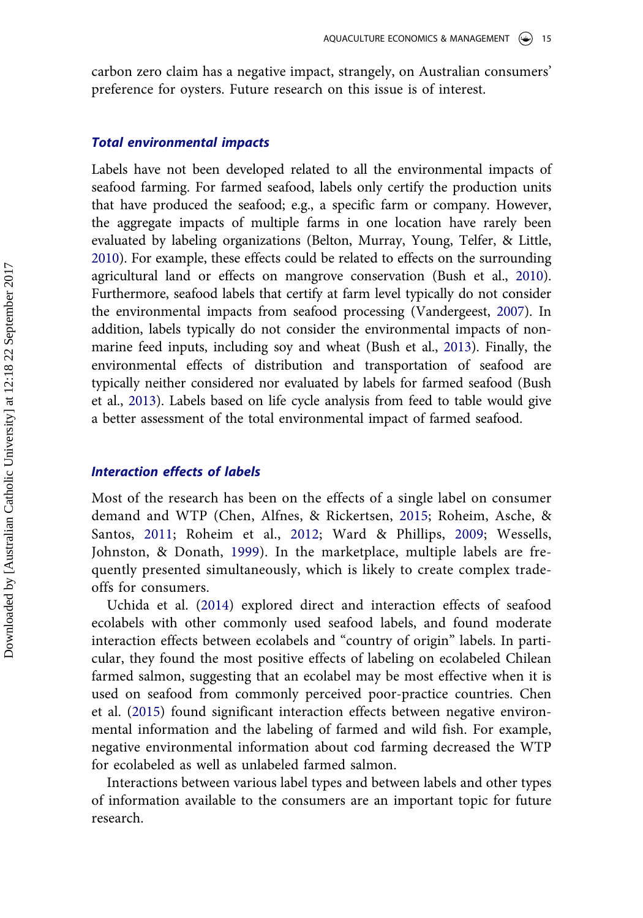carbon zero claim has a negative impact, strangely, on Australian consumers' preference for oysters. Future research on this issue is of interest.

## *Total environmental impacts*

Labels have not been developed related to all the environmental impacts of seafood farming. For farmed seafood, labels only certify the production units that have produced the seafood; e.g., a specific farm or company. However, the aggregate impacts of multiple farms in one location have rarely been evaluated by labeling organizations (Belton, Murray, Young, Telfer, & Little, [2010](#page-20-0)). For example, these effects could be related to effects on the surrounding agricultural land or effects on mangrove conservation (Bush et al., [2010\)](#page-20-0). Furthermore, seafood labels that certify at farm level typically do not consider the environmental impacts from seafood processing (Vandergeest, [2007\)](#page-26-0). In addition, labels typically do not consider the environmental impacts of nonmarine feed inputs, including soy and wheat (Bush et al., [2013](#page-20-0)). Finally, the environmental effects of distribution and transportation of seafood are typically neither considered nor evaluated by labels for farmed seafood (Bush et al., [2013](#page-20-0)). Labels based on life cycle analysis from feed to table would give a better assessment of the total environmental impact of farmed seafood.

#### *Interaction effects of labels*

Most of the research has been on the effects of a single label on consumer demand and WTP (Chen, Alfnes, & Rickertsen, [2015;](#page-20-0) Roheim, Asche, & Santos, [2011](#page-25-0); Roheim et al., [2012](#page-25-0); Ward & Phillips, [2009](#page-26-0); Wessells, Johnston, & Donath, [1999](#page-26-0)). In the marketplace, multiple labels are frequently presented simultaneously, which is likely to create complex tradeoffs for consumers.

Uchida et al. [\(2014](#page-25-0)) explored direct and interaction effects of seafood ecolabels with other commonly used seafood labels, and found moderate interaction effects between ecolabels and "country of origin" labels. In particular, they found the most positive effects of labeling on ecolabeled Chilean farmed salmon, suggesting that an ecolabel may be most effective when it is used on seafood from commonly perceived poor-practice countries. Chen et al. ([2015\)](#page-20-0) found significant interaction effects between negative environmental information and the labeling of farmed and wild fish. For example, negative environmental information about cod farming decreased the WTP for ecolabeled as well as unlabeled farmed salmon.

Interactions between various label types and between labels and other types of information available to the consumers are an important topic for future research.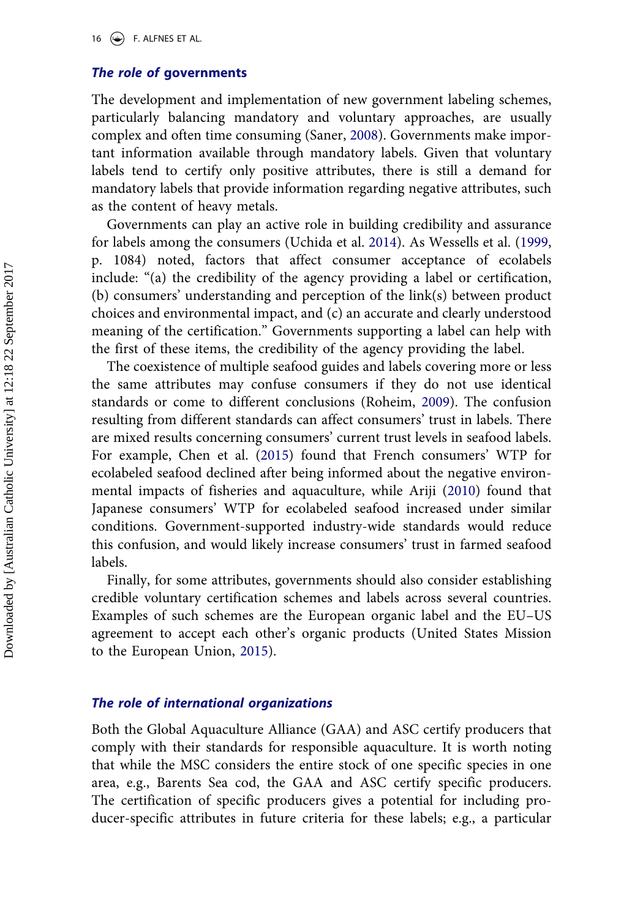#### *The role of* **governments**

The development and implementation of new government labeling schemes, particularly balancing mandatory and voluntary approaches, are usually complex and often time consuming (Saner, [2008](#page-25-0)). Governments make important information available through mandatory labels. Given that voluntary labels tend to certify only positive attributes, there is still a demand for mandatory labels that provide information regarding negative attributes, such as the content of heavy metals.

Governments can play an active role in building credibility and assurance for labels among the consumers (Uchida et al. [2014](#page-25-0)). As Wessells et al. ([1999,](#page-26-0) p. 1084) noted, factors that affect consumer acceptance of ecolabels include: "(a) the credibility of the agency providing a label or certification, (b) consumers' understanding and perception of the link(s) between product choices and environmental impact, and (c) an accurate and clearly understood meaning of the certification." Governments supporting a label can help with the first of these items, the credibility of the agency providing the label.

The coexistence of multiple seafood guides and labels covering more or less the same attributes may confuse consumers if they do not use identical standards or come to different conclusions (Roheim, [2009](#page-24-0)). The confusion resulting from different standards can affect consumers' trust in labels. There are mixed results concerning consumers' current trust levels in seafood labels. For example, Chen et al. [\(2015](#page-20-0)) found that French consumers' WTP for ecolabeled seafood declined after being informed about the negative environmental impacts of fisheries and aquaculture, while Ariji ([2010\)](#page-19-0) found that Japanese consumers' WTP for ecolabeled seafood increased under similar conditions. Government-supported industry-wide standards would reduce this confusion, and would likely increase consumers' trust in farmed seafood labels.

Finally, for some attributes, governments should also consider establishing credible voluntary certification schemes and labels across several countries. Examples of such schemes are the European organic label and the EU–US agreement to accept each other's organic products (United States Mission to the European Union, [2015](#page-26-0)).

## *The role of international organizations*

Both the Global Aquaculture Alliance (GAA) and ASC certify producers that comply with their standards for responsible aquaculture. It is worth noting that while the MSC considers the entire stock of one specific species in one area, e.g., Barents Sea cod, the GAA and ASC certify specific producers. The certification of specific producers gives a potential for including producer-specific attributes in future criteria for these labels; e.g., a particular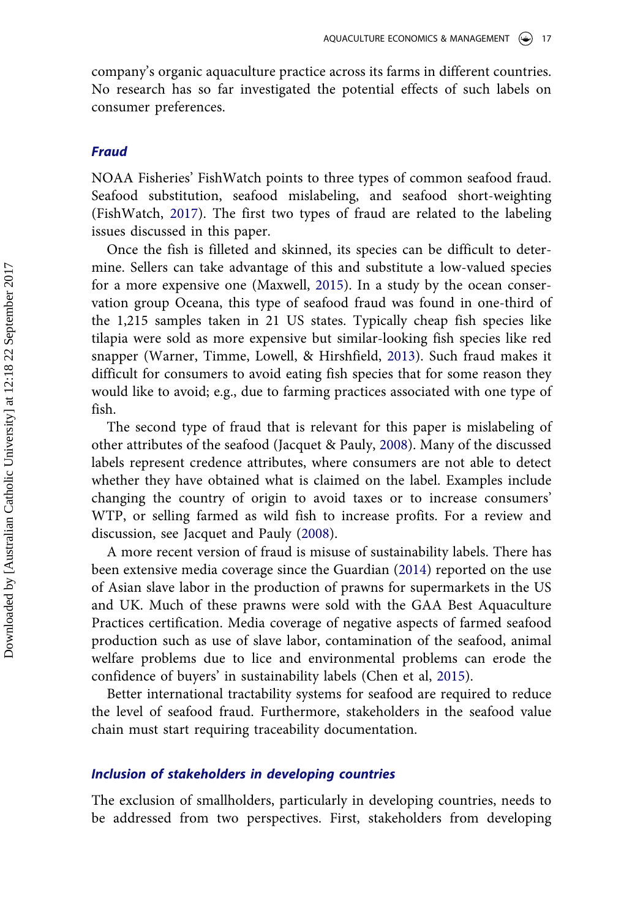company's organic aquaculture practice across its farms in different countries. No research has so far investigated the potential effects of such labels on consumer preferences.

#### *Fraud*

NOAA Fisheries' FishWatch points to three types of common seafood fraud. Seafood substitution, seafood mislabeling, and seafood short-weighting (FishWatch, [2017](#page-21-0)). The first two types of fraud are related to the labeling issues discussed in this paper.

Once the fish is filleted and skinned, its species can be difficult to determine. Sellers can take advantage of this and substitute a low-valued species for a more expensive one (Maxwell, [2015](#page-23-0)). In a study by the ocean conservation group Oceana, this type of seafood fraud was found in one-third of the 1,215 samples taken in 21 US states. Typically cheap fish species like tilapia were sold as more expensive but similar-looking fish species like red snapper (Warner, Timme, Lowell, & Hirshfield, [2013](#page-26-0)). Such fraud makes it difficult for consumers to avoid eating fish species that for some reason they would like to avoid; e.g., due to farming practices associated with one type of fish.

The second type of fraud that is relevant for this paper is mislabeling of other attributes of the seafood (Jacquet & Pauly, [2008\)](#page-22-0). Many of the discussed labels represent credence attributes, where consumers are not able to detect whether they have obtained what is claimed on the label. Examples include changing the country of origin to avoid taxes or to increase consumers' WTP, or selling farmed as wild fish to increase profits. For a review and discussion, see Jacquet and Pauly [\(2008](#page-22-0)).

A more recent version of fraud is misuse of sustainability labels. There has been extensive media coverage since the Guardian [\(2014](#page-22-0)) reported on the use of Asian slave labor in the production of prawns for supermarkets in the US and UK. Much of these prawns were sold with the GAA Best Aquaculture Practices certification. Media coverage of negative aspects of farmed seafood production such as use of slave labor, contamination of the seafood, animal welfare problems due to lice and environmental problems can erode the confidence of buyers' in sustainability labels (Chen et al, [2015](#page-20-0)).

Better international tractability systems for seafood are required to reduce the level of seafood fraud. Furthermore, stakeholders in the seafood value chain must start requiring traceability documentation.

#### *Inclusion of stakeholders in developing countries*

The exclusion of smallholders, particularly in developing countries, needs to be addressed from two perspectives. First, stakeholders from developing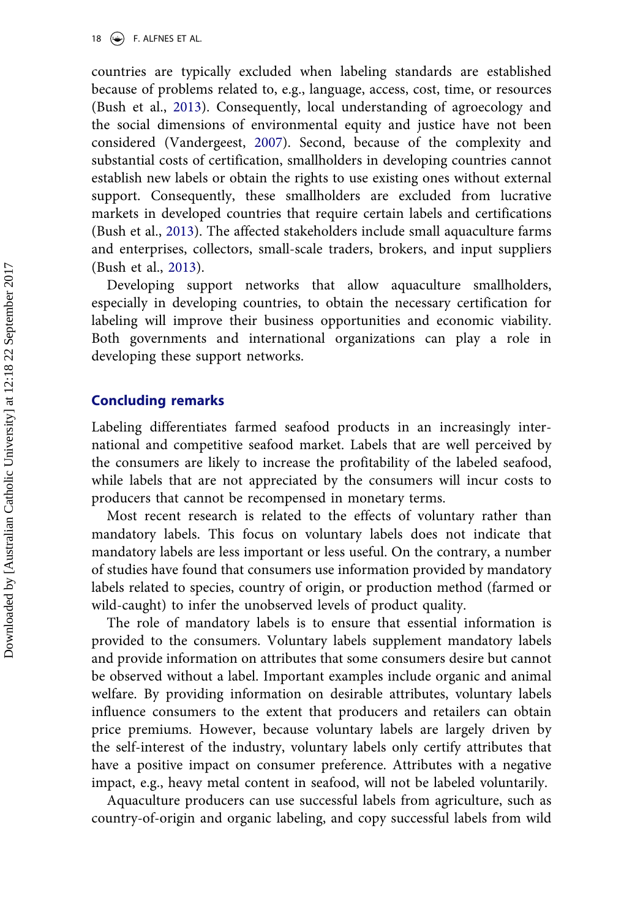#### 18  $\left(\bigstar\right)$  F. ALFNES ET AL.

countries are typically excluded when labeling standards are established because of problems related to, e.g., language, access, cost, time, or resources (Bush et al., [2013\)](#page-20-0). Consequently, local understanding of agroecology and the social dimensions of environmental equity and justice have not been considered (Vandergeest, [2007](#page-26-0)). Second, because of the complexity and substantial costs of certification, smallholders in developing countries cannot establish new labels or obtain the rights to use existing ones without external support. Consequently, these smallholders are excluded from lucrative markets in developed countries that require certain labels and certifications (Bush et al., [2013](#page-20-0)). The affected stakeholders include small aquaculture farms and enterprises, collectors, small-scale traders, brokers, and input suppliers (Bush et al., [2013\)](#page-20-0).

Developing support networks that allow aquaculture smallholders, especially in developing countries, to obtain the necessary certification for labeling will improve their business opportunities and economic viability. Both governments and international organizations can play a role in developing these support networks.

## **Concluding remarks**

Labeling differentiates farmed seafood products in an increasingly international and competitive seafood market. Labels that are well perceived by the consumers are likely to increase the profitability of the labeled seafood, while labels that are not appreciated by the consumers will incur costs to producers that cannot be recompensed in monetary terms.

Most recent research is related to the effects of voluntary rather than mandatory labels. This focus on voluntary labels does not indicate that mandatory labels are less important or less useful. On the contrary, a number of studies have found that consumers use information provided by mandatory labels related to species, country of origin, or production method (farmed or wild-caught) to infer the unobserved levels of product quality.

The role of mandatory labels is to ensure that essential information is provided to the consumers. Voluntary labels supplement mandatory labels and provide information on attributes that some consumers desire but cannot be observed without a label. Important examples include organic and animal welfare. By providing information on desirable attributes, voluntary labels influence consumers to the extent that producers and retailers can obtain price premiums. However, because voluntary labels are largely driven by the self-interest of the industry, voluntary labels only certify attributes that have a positive impact on consumer preference. Attributes with a negative impact, e.g., heavy metal content in seafood, will not be labeled voluntarily.

Aquaculture producers can use successful labels from agriculture, such as country-of-origin and organic labeling, and copy successful labels from wild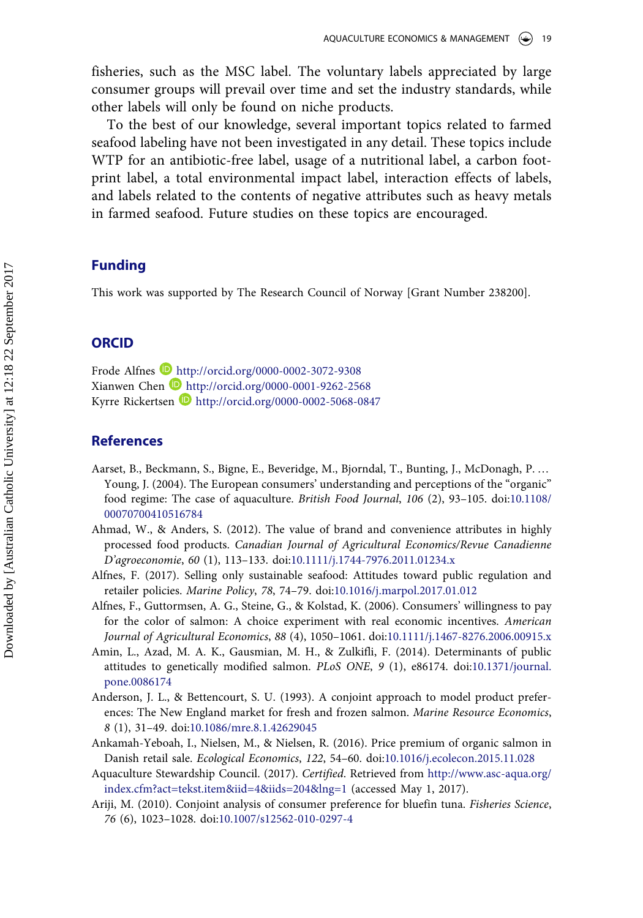<span id="page-19-0"></span>fisheries, such as the MSC label. The voluntary labels appreciated by large consumer groups will prevail over time and set the industry standards, while other labels will only be found on niche products.

To the best of our knowledge, several important topics related to farmed seafood labeling have not been investigated in any detail. These topics include WTP for an antibiotic-free label, usage of a nutritional label, a carbon footprint label, a total environmental impact label, interaction effects of labels, and labels related to the contents of negative attributes such as heavy metals in farmed seafood. Future studies on these topics are encouraged.

## **Funding**

This work was supported by The Research Council of Norway [Grant Number 238200].

## **ORCID**

Frode Alfnes **<http://orcid.org/0000-0002-3072-9308>** Xianwen Chen <http://orcid.org/0000-0001-9262-2568> Kyrre Rickertsen <http://orcid.org/0000-0002-5068-0847>

## **References**

- Aarset, B., Beckmann, S., Bigne, E., Beveridge, M., Bjorndal, T., Bunting, J., McDonagh, P. … Young, J. (2004). The European consumers' understanding and perceptions of the "organic" food regime: The case of aquaculture. *British Food Journal*, *106* (2), 93–105. doi:[10.1108/](https://doi.org/10.1108/00070700410516784) [00070700410516784](https://doi.org/10.1108/00070700410516784)
- Ahmad, W., & Anders, S. (2012). The value of brand and convenience attributes in highly processed food products. *Canadian Journal of Agricultural Economics/Revue Canadienne D'agroeconomie*, *60* (1), 113–133. doi[:10.1111/j.1744-7976.2011.01234.x](https://doi.org/10.1111/j.1744-7976.2011.01234.x)
- Alfnes, F. (2017). Selling only sustainable seafood: Attitudes toward public regulation and retailer policies. *Marine Policy*, *78*, 74–79. doi:[10.1016/j.marpol.2017.01.012](https://doi.org/10.1016/j.marpol.2017.01.012)
- Alfnes, F., Guttormsen, A. G., Steine, G., & Kolstad, K. (2006). Consumers' willingness to pay for the color of salmon: A choice experiment with real economic incentives. *American Journal of Agricultural Economics*, *88* (4), 1050–1061. doi:[10.1111/j.1467-8276.2006.00915.x](https://doi.org/10.1111/j.1467-8276.2006.00915.x)
- Amin, L., Azad, M. A. K., Gausmian, M. H., & Zulkifli, F. (2014). Determinants of public attitudes to genetically modified salmon. *PLoS ONE*, *9* (1), e86174. doi[:10.1371/journal.](https://doi.org/10.1371/journal.pone.0086174) [pone.0086174](https://doi.org/10.1371/journal.pone.0086174)
- Anderson, J. L., & Bettencourt, S. U. (1993). A conjoint approach to model product preferences: The New England market for fresh and frozen salmon. *Marine Resource Economics*, *8* (1), 31–49. doi:[10.1086/mre.8.1.42629045](https://doi.org/10.1086/mre.8.1.42629045)
- Ankamah-Yeboah, I., Nielsen, M., & Nielsen, R. (2016). Price premium of organic salmon in Danish retail sale. *Ecological Economics*, *122*, 54–60. doi[:10.1016/j.ecolecon.2015.11.028](https://doi.org/10.1016/j.ecolecon.2015.11.028)
- Aquaculture Stewardship Council. (2017). *Certified*. Retrieved from [http://www.asc-aqua.org/](http://www.asc-aqua.org/index.cfm?act=tekst.item&iid=4&iids=204&lng=1) [index.cfm?act=tekst.item&iid=4&iids=204&lng=1](http://www.asc-aqua.org/index.cfm?act=tekst.item&iid=4&iids=204&lng=1) (accessed May 1, 2017).
- Ariji, M. (2010). Conjoint analysis of consumer preference for bluefin tuna. *Fisheries Science*, *76* (6), 1023–1028. doi[:10.1007/s12562-010-0297-4](https://doi.org/10.1007/s12562-010-0297-4)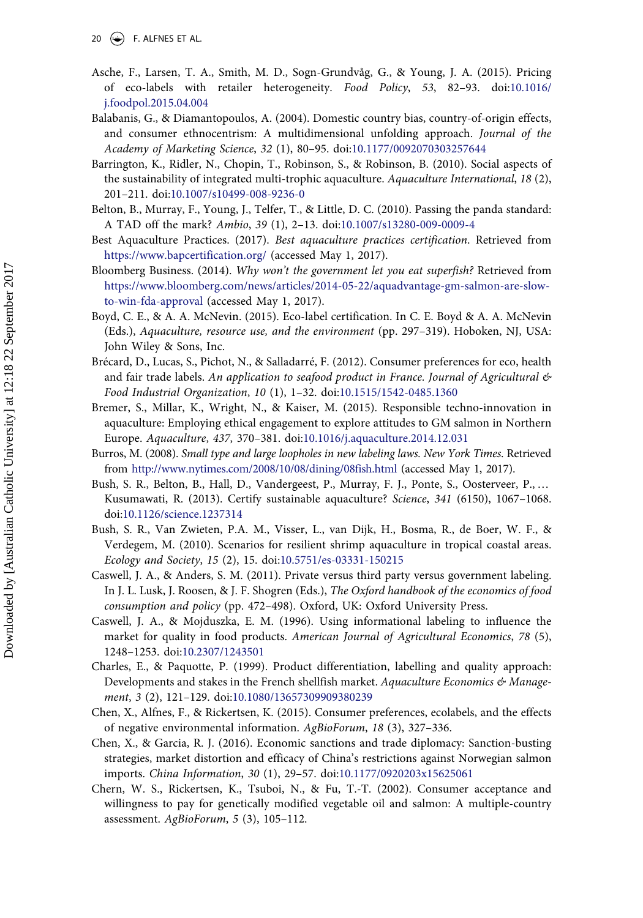- <span id="page-20-0"></span>20  $\left(\bigstar\right)$  F. ALFNES ET AL.
- Asche, F., Larsen, T. A., Smith, M. D., Sogn-Grundvåg, G., & Young, J. A. (2015). Pricing of eco-labels with retailer heterogeneity. *Food Policy*, *53*, 82–93. doi:[10.1016/](https://doi.org/10.1016/j.foodpol.2015.04.004) [j.foodpol.2015.04.004](https://doi.org/10.1016/j.foodpol.2015.04.004)
- Balabanis, G., & Diamantopoulos, A. (2004). Domestic country bias, country-of-origin effects, and consumer ethnocentrism: A multidimensional unfolding approach. *Journal of the Academy of Marketing Science*, *32* (1), 80–95. doi:[10.1177/0092070303257644](https://doi.org/10.1177/0092070303257644)
- Barrington, K., Ridler, N., Chopin, T., Robinson, S., & Robinson, B. (2010). Social aspects of the sustainability of integrated multi-trophic aquaculture. *Aquaculture International*, *18* (2), 201–211. doi:[10.1007/s10499-008-9236-0](https://doi.org/10.1007/s10499-008-9236-0)
- Belton, B., Murray, F., Young, J., Telfer, T., & Little, D. C. (2010). Passing the panda standard: A TAD off the mark? *Ambio*, *39* (1), 2–13. doi[:10.1007/s13280-009-0009-4](https://doi.org/10.1007/s13280-009-0009-4)
- Best Aquaculture Practices. (2017). *Best aquaculture practices certification*. Retrieved from <https://www.bapcertification.org/>(accessed May 1, 2017).
- Bloomberg Business. (2014). *Why won't the government let you eat superfish?* Retrieved from [https://www.bloomberg.com/news/articles/2014-05-22/aquadvantage-gm-salmon-are-slow](https://www.bloomberg.com/news/articles/2014-05-22/aquadvantage-gm-salmon-are-slow-to-win-fda-approval)[to-win-fda-approval](https://www.bloomberg.com/news/articles/2014-05-22/aquadvantage-gm-salmon-are-slow-to-win-fda-approval) (accessed May 1, 2017).
- Boyd, C. E., & A. A. McNevin. (2015). Eco-label certification. In C. E. Boyd & A. A. McNevin (Eds.), *Aquaculture, resource use, and the environment* (pp. 297–319). Hoboken, NJ, USA: John Wiley & Sons, Inc.
- Brécard, D., Lucas, S., Pichot, N., & Salladarré, F. (2012). Consumer preferences for eco, health and fair trade labels. *An application to seafood product in France. Journal of Agricultural & Food Industrial Organization*, *10* (1), 1–32. doi[:10.1515/1542-0485.1360](https://doi.org/10.1515/1542-0485.1360)
- Bremer, S., Millar, K., Wright, N., & Kaiser, M. (2015). Responsible techno-innovation in aquaculture: Employing ethical engagement to explore attitudes to GM salmon in Northern Europe. *Aquaculture*, *437*, 370–381. doi:[10.1016/j.aquaculture.2014.12.031](https://doi.org/10.1016/j.aquaculture.2014.12.031)
- Burros, M. (2008). *Small type and large loopholes in new labeling laws. New York Times*. Retrieved from <http://www.nytimes.com/2008/10/08/dining/08fish.html> (accessed May 1, 2017).
- Bush, S. R., Belton, B., Hall, D., Vandergeest, P., Murray, F. J., Ponte, S., Oosterveer, P., … Kusumawati, R. (2013). Certify sustainable aquaculture? *Science*, *341* (6150), 1067–1068. doi[:10.1126/science.1237314](https://doi.org/10.1126/science.1237314)
- Bush, S. R., Van Zwieten, P.A. M., Visser, L., van Dijk, H., Bosma, R., de Boer, W. F., & Verdegem, M. (2010). Scenarios for resilient shrimp aquaculture in tropical coastal areas. *Ecology and Society*, *15* (2), 15. doi:[10.5751/es-03331-150215](https://doi.org/10.5751/es-03331-150215)
- Caswell, J. A., & Anders, S. M. (2011). Private versus third party versus government labeling. In J. L. Lusk, J. Roosen, & J. F. Shogren (Eds.), *The Oxford handbook of the economics of food consumption and policy* (pp. 472–498). Oxford, UK: Oxford University Press.
- Caswell, J. A., & Mojduszka, E. M. (1996). Using informational labeling to influence the market for quality in food products. *American Journal of Agricultural Economics*, *78* (5), 1248–1253. doi:[10.2307/1243501](https://doi.org/10.2307/1243501)
- Charles, E., & Paquotte, P. (1999). Product differentiation, labelling and quality approach: Developments and stakes in the French shellfish market. *Aquaculture Economics & Management*, *3* (2), 121–129. doi[:10.1080/13657309909380239](https://doi.org/10.1080/13657309909380239)
- Chen, X., Alfnes, F., & Rickertsen, K. (2015). Consumer preferences, ecolabels, and the effects of negative environmental information. *AgBioForum*, *18* (3), 327–336.
- Chen, X., & Garcia, R. J. (2016). Economic sanctions and trade diplomacy: Sanction-busting strategies, market distortion and efficacy of China's restrictions against Norwegian salmon imports. *China Information*, *30* (1), 29–57. doi:[10.1177/0920203x15625061](https://doi.org/10.1177/0920203x15625061)
- Chern, W. S., Rickertsen, K., Tsuboi, N., & Fu, T.-T. (2002). Consumer acceptance and willingness to pay for genetically modified vegetable oil and salmon: A multiple-country assessment. *AgBioForum*, *5* (3), 105–112.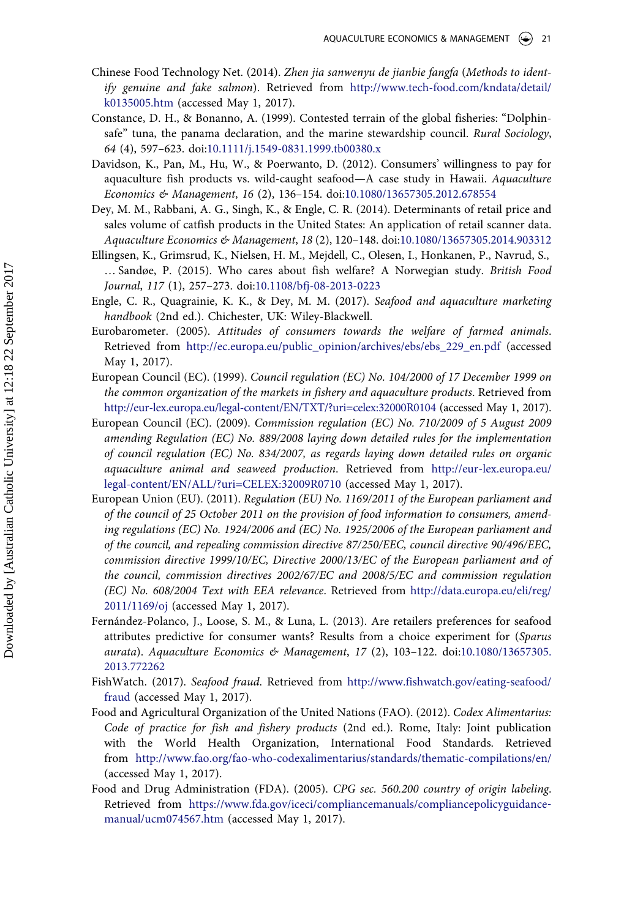- <span id="page-21-0"></span>Chinese Food Technology Net. (2014). *Zhen jia sanwenyu de jianbie fangfa* (*Methods to identify genuine and fake salmon*). Retrieved from [http://www.tech-food.com/kndata/detail/](http://www.tech-food.com/kndata/detail/k0135005.htm) [k0135005.htm](http://www.tech-food.com/kndata/detail/k0135005.htm) (accessed May 1, 2017).
- Constance, D. H., & Bonanno, A. (1999). Contested terrain of the global fisheries: "Dolphinsafe" tuna, the panama declaration, and the marine stewardship council. *Rural Sociology*, *64* (4), 597–623. doi[:10.1111/j.1549-0831.1999.tb00380.x](https://doi.org/10.1111/j.1549-0831.1999.tb00380.x)
- Davidson, K., Pan, M., Hu, W., & Poerwanto, D. (2012). Consumers' willingness to pay for aquaculture fish products vs. wild-caught seafood—A case study in Hawaii. *Aquaculture Economics & Management*, *16* (2), 136–154. doi[:10.1080/13657305.2012.678554](https://doi.org/10.1080/13657305.2012.678554)
- Dey, M. M., Rabbani, A. G., Singh, K., & Engle, C. R. (2014). Determinants of retail price and sales volume of catfish products in the United States: An application of retail scanner data. *Aquaculture Economics & Management*, *18* (2), 120–148. doi:[10.1080/13657305.2014.903312](https://doi.org/10.1080/13657305.2014.903312)
- Ellingsen, K., Grimsrud, K., Nielsen, H. M., Mejdell, C., Olesen, I., Honkanen, P., Navrud, S., … Sandøe, P. (2015). Who cares about fish welfare? A Norwegian study. *British Food Journal*, *117* (1), 257–273. doi[:10.1108/bfj-08-2013-0223](https://doi.org/10.1108/bfj-08-2013-0223)
- Engle, C. R., Quagrainie, K. K., & Dey, M. M. (2017). *Seafood and aquaculture marketing handbook* (2nd ed.). Chichester, UK: Wiley-Blackwell.
- Eurobarometer. (2005). *Attitudes of consumers towards the welfare of farmed animals*. Retrieved from [http://ec.europa.eu/public\\_opinion/archives/ebs/ebs\\_229\\_en.pdf](http://ec.europa.eu/public_opinion/archives/ebs/ebs_229_en.pdf) (accessed May 1, 2017).
- European Council (EC). (1999). *Council regulation (EC) No. 104/2000 of 17 December 1999 on the common organization of the markets in fishery and aquaculture products*. Retrieved from <http://eur-lex.europa.eu/legal-content/EN/TXT/?uri=celex:32000R0104>(accessed May 1, 2017).
- European Council (EC). (2009). *Commission regulation (EC) No. 710/2009 of 5 August 2009 amending Regulation (EC) No. 889/2008 laying down detailed rules for the implementation of council regulation (EC) No. 834/2007, as regards laying down detailed rules on organic aquaculture animal and seaweed production*. Retrieved from [http://eur-lex.europa.eu/](http://eur-lex.europa.eu/legal-content/EN/ALL/?uri=CELEX:32009R0710) [legal-content/EN/ALL/?uri=CELEX:32009R0710](http://eur-lex.europa.eu/legal-content/EN/ALL/?uri=CELEX:32009R0710) (accessed May 1, 2017).
- European Union (EU). (2011). *Regulation (EU) No. 1169/2011 of the European parliament and of the council of 25 October 2011 on the provision of food information to consumers, amending regulations (EC) No. 1924/2006 and (EC) No. 1925/2006 of the European parliament and of the council, and repealing commission directive 87/250/EEC, council directive 90/496/EEC, commission directive 1999/10/EC, Directive 2000/13/EC of the European parliament and of the council, commission directives 2002/67/EC and 2008/5/EC and commission regulation (EC) No. 608/2004 Text with EEA relevance*. Retrieved from [http://data.europa.eu/eli/reg/](http://data.europa.eu/eli/reg/2011/1169/oj) [2011/1169/oj](http://data.europa.eu/eli/reg/2011/1169/oj) (accessed May 1, 2017).
- Fernández-Polanco, J., Loose, S. M., & Luna, L. (2013). Are retailers preferences for seafood attributes predictive for consumer wants? Results from a choice experiment for (*Sparus aurata*). *Aquaculture Economics & Management*, *17* (2), 103–122. doi[:10.1080/13657305.](https://doi.org/10.1080/13657305.2013.772262) [2013.772262](https://doi.org/10.1080/13657305.2013.772262)
- FishWatch. (2017). *Seafood fraud*. Retrieved from [http://www.fishwatch.gov/eating-seafood/](http://www.fishwatch.gov/eating-seafood/fraud) [fraud](http://www.fishwatch.gov/eating-seafood/fraud) (accessed May 1, 2017).
- Food and Agricultural Organization of the United Nations (FAO). (2012). *Codex Alimentarius: Code of practice for fish and fishery products* (2nd ed.). Rome, Italy: Joint publication with the World Health Organization, International Food Standards. Retrieved from <http://www.fao.org/fao-who-codexalimentarius/standards/thematic-compilations/en/> (accessed May 1, 2017).
- Food and Drug Administration (FDA). (2005). *CPG sec. 560.200 country of origin labeling*. Retrieved from [https://www.fda.gov/iceci/compliancemanuals/compliancepolicyguidance](https://www.fda.gov/iceci/compliancemanuals/compliancepolicyguidancemanual/ucm074567.htm)[manual/ucm074567.htm](https://www.fda.gov/iceci/compliancemanuals/compliancepolicyguidancemanual/ucm074567.htm) (accessed May 1, 2017).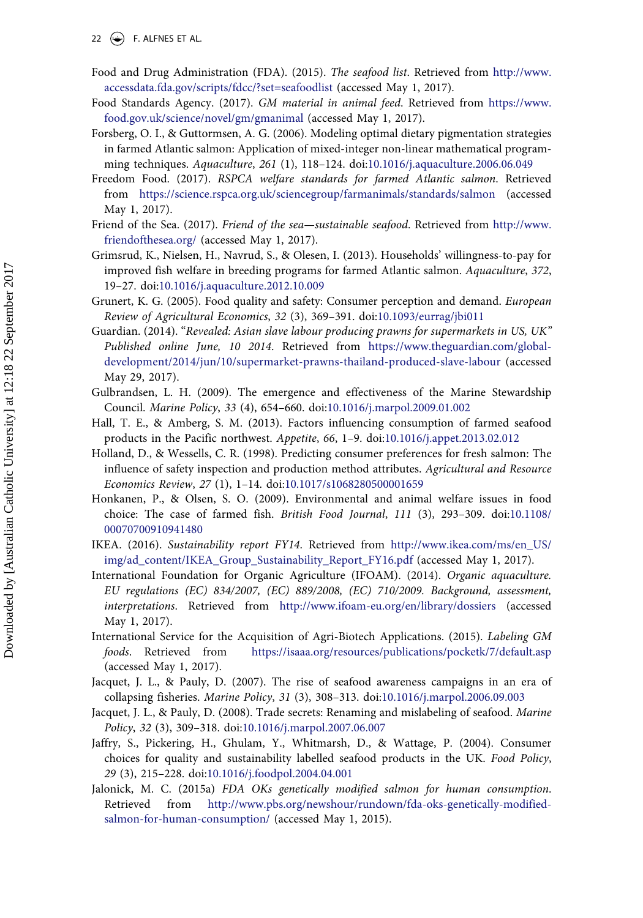- <span id="page-22-0"></span>22  $\left(\bigstar\right)$  F. ALFNES ET AL.
- Food and Drug Administration (FDA). (2015). *The seafood list*. Retrieved from [http://www.](http://www.accessdata.fda.gov/scripts/fdcc/?set=seafoodlist) [accessdata.fda.gov/scripts/fdcc/?set=seafoodlist](http://www.accessdata.fda.gov/scripts/fdcc/?set=seafoodlist) (accessed May 1, 2017).
- Food Standards Agency. (2017). *GM material in animal feed*. Retrieved from [https://www.](https://www.food.gov.uk/science/novel/gm/gmanimal) [food.gov.uk/science/novel/gm/gmanimal](https://www.food.gov.uk/science/novel/gm/gmanimal) (accessed May 1, 2017).
- Forsberg, O. I., & Guttormsen, A. G. (2006). Modeling optimal dietary pigmentation strategies in farmed Atlantic salmon: Application of mixed-integer non-linear mathematical programming techniques. *Aquaculture*, *261* (1), 118–124. doi[:10.1016/j.aquaculture.2006.06.049](https://doi.org/10.1016/j.aquaculture.2006.06.049)
- Freedom Food. (2017). *RSPCA welfare standards for farmed Atlantic salmon*. Retrieved from [https://science.rspca.org.uk/sciencegroup/farmanimals/standards/salmon](http://https://science.rspca.org.uk/sciencegroup/farmanimals/standards/salmon) (accessed May 1, 2017).
- Friend of the Sea. (2017). *Friend of the sea—sustainable seafood*. Retrieved from [http://www.](http://www.friendofthesea.org/) [friendofthesea.org/](http://www.friendofthesea.org/) (accessed May 1, 2017).
- Grimsrud, K., Nielsen, H., Navrud, S., & Olesen, I. (2013). Households' willingness-to-pay for improved fish welfare in breeding programs for farmed Atlantic salmon. *Aquaculture*, *372*, 19–27. doi:[10.1016/j.aquaculture.2012.10.009](https://doi.org/10.1016/j.aquaculture.2012.10.009)
- Grunert, K. G. (2005). Food quality and safety: Consumer perception and demand. *European Review of Agricultural Economics*, *32* (3), 369–391. doi:[10.1093/eurrag/jbi011](https://doi.org/10.1093/eurrag/jbi011)
- Guardian. (2014). "*Revealed: Asian slave labour producing prawns for supermarkets in US, UK" Published online June, 10 2014*. Retrieved from [https://www.theguardian.com/global](https://www.theguardian.com/global-development/2014/jun/10/supermarket-prawns-thailand-produced-slave-labour)[development/2014/jun/10/supermarket-prawns-thailand-produced-slave-labour](https://www.theguardian.com/global-development/2014/jun/10/supermarket-prawns-thailand-produced-slave-labour) (accessed May 29, 2017).
- Gulbrandsen, L. H. (2009). The emergence and effectiveness of the Marine Stewardship Council. *Marine Policy*, *33* (4), 654–660. doi:[10.1016/j.marpol.2009.01.002](https://doi.org/10.1016/j.marpol.2009.01.002)
- Hall, T. E., & Amberg, S. M. (2013). Factors influencing consumption of farmed seafood products in the Pacific northwest. *Appetite*, *66*, 1–9. doi:[10.1016/j.appet.2013.02.012](https://doi.org/10.1016/j.appet.2013.02.012)
- Holland, D., & Wessells, C. R. (1998). Predicting consumer preferences for fresh salmon: The influence of safety inspection and production method attributes. *Agricultural and Resource Economics Review*, *27* (1), 1–14. doi[:10.1017/s1068280500001659](https://doi.org/10.1017/s1068280500001659)
- Honkanen, P., & Olsen, S. O. (2009). Environmental and animal welfare issues in food choice: The case of farmed fish. *British Food Journal*, *111* (3), 293–309. doi:[10.1108/](https://doi.org/10.1108/00070700910941480) [00070700910941480](https://doi.org/10.1108/00070700910941480)
- IKEA. (2016). *Sustainability report FY14*. Retrieved from [http://www.ikea.com/ms/en\\_US/](http://www.ikea.com/ms/en_US/img/ad_content/IKEA_Group_Sustainability_Report_FY16.pdf) [img/ad\\_content/IKEA\\_Group\\_Sustainability\\_Report\\_FY16.pdf](http://www.ikea.com/ms/en_US/img/ad_content/IKEA_Group_Sustainability_Report_FY16.pdf) (accessed May 1, 2017).
- International Foundation for Organic Agriculture (IFOAM). (2014). *Organic aquaculture. EU regulations (EC) 834/2007, (EC) 889/2008, (EC) 710/2009. Background, assessment, interpretations*. Retrieved from <http://www.ifoam-eu.org/en/library/dossiers>(accessed May 1, 2017).
- International Service for the Acquisition of Agri-Biotech Applications. (2015). *Labeling GM foods*. Retrieved from <https://isaaa.org/resources/publications/pocketk/7/default.asp> (accessed May 1, 2017).
- Jacquet, J. L., & Pauly, D. (2007). The rise of seafood awareness campaigns in an era of collapsing fisheries. *Marine Policy*, *31* (3), 308–313. doi[:10.1016/j.marpol.2006.09.003](https://doi.org/10.1016/j.marpol.2006.09.003)
- Jacquet, J. L., & Pauly, D. (2008). Trade secrets: Renaming and mislabeling of seafood. *Marine Policy*, *32* (3), 309–318. doi[:10.1016/j.marpol.2007.06.007](https://doi.org/10.1016/j.marpol.2007.06.007)
- Jaffry, S., Pickering, H., Ghulam, Y., Whitmarsh, D., & Wattage, P. (2004). Consumer choices for quality and sustainability labelled seafood products in the UK. *Food Policy*, *29* (3), 215–228. doi[:10.1016/j.foodpol.2004.04.001](https://doi.org/10.1016/j.foodpol.2004.04.001)
- Jalonick, M. C. (2015a) *FDA OKs genetically modified salmon for human consumption*. Retrieved from [http://www.pbs.org/newshour/rundown/fda-oks-genetically-modified](http://www.pbs.org/newshour/rundown/fda-oks-genetically-modified-salmon-for-human-consumption/)[salmon-for-human-consumption/](http://www.pbs.org/newshour/rundown/fda-oks-genetically-modified-salmon-for-human-consumption/) (accessed May 1, 2015).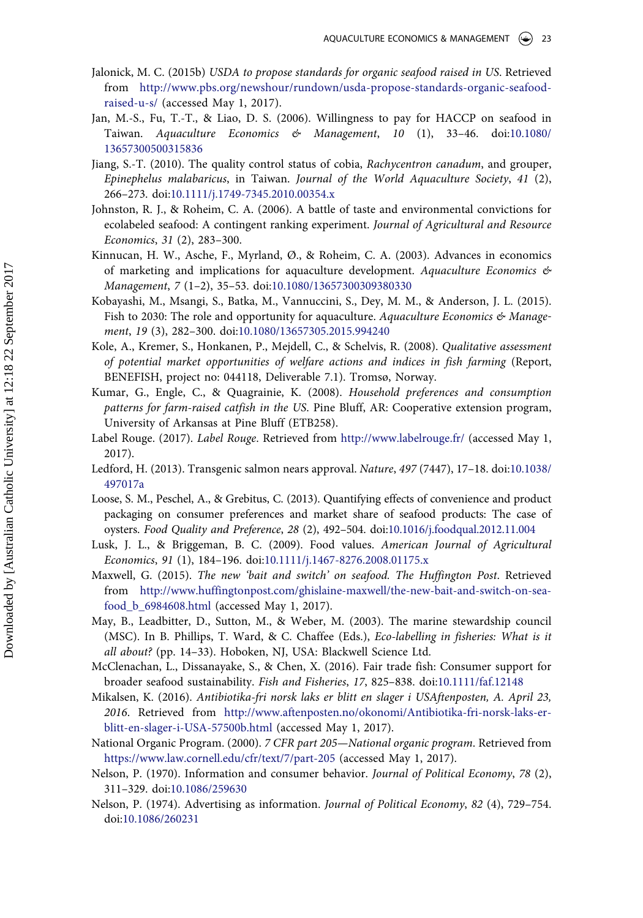- <span id="page-23-0"></span>Jalonick, M. C. (2015b) *USDA to propose standards for organic seafood raised in US*. Retrieved from [http://www.pbs.org/newshour/rundown/usda-propose-standards-organic-seafood](http://www.pbs.org/newshour/rundown/usda-propose-standards-organic-seafood-raised-u-s/)[raised-u-s/](http://www.pbs.org/newshour/rundown/usda-propose-standards-organic-seafood-raised-u-s/) (accessed May 1, 2017).
- Jan, M.-S., Fu, T.-T., & Liao, D. S. (2006). Willingness to pay for HACCP on seafood in Taiwan. *Aquaculture Economics & Management*, *10* (1), 33–46. doi:[10.1080/](https://doi.org/10.1080/13657300500315836) [13657300500315836](https://doi.org/10.1080/13657300500315836)
- Jiang, S.-T. (2010). The quality control status of cobia, *Rachycentron canadum*, and grouper, *Epinephelus malabaricus*, in Taiwan. *Journal of the World Aquaculture Society*, *41* (2), 266–273. doi:[10.1111/j.1749-7345.2010.00354.x](https://doi.org/10.1111/j.1749-7345.2010.00354.x)
- Johnston, R. J., & Roheim, C. A. (2006). A battle of taste and environmental convictions for ecolabeled seafood: A contingent ranking experiment. *Journal of Agricultural and Resource Economics*, *31* (2), 283–300.
- Kinnucan, H. W., Asche, F., Myrland, Ø., & Roheim, C. A. (2003). Advances in economics of marketing and implications for aquaculture development. *Aquaculture Economics & Management*, *7* (1–2), 35–53. doi:[10.1080/13657300309380330](https://doi.org/10.1080/13657300309380330)
- Kobayashi, M., Msangi, S., Batka, M., Vannuccini, S., Dey, M. M., & Anderson, J. L. (2015). Fish to 2030: The role and opportunity for aquaculture. *Aquaculture Economics & Management*, *19* (3), 282–300. doi:[10.1080/13657305.2015.994240](https://doi.org/10.1080/13657305.2015.994240)
- Kole, A., Kremer, S., Honkanen, P., Mejdell, C., & Schelvis, R. (2008). *Qualitative assessment of potential market opportunities of welfare actions and indices in fish farming* (Report, BENEFISH, project no: 044118, Deliverable 7.1). Tromsø, Norway.
- Kumar, G., Engle, C., & Quagrainie, K. (2008). *Household preferences and consumption patterns for farm-raised catfish in the US*. Pine Bluff, AR: Cooperative extension program, University of Arkansas at Pine Bluff (ETB258).
- Label Rouge. (2017). *Label Rouge*. Retrieved from <http://www.labelrouge.fr/> (accessed May 1, 2017).
- Ledford, H. (2013). Transgenic salmon nears approval. *Nature*, *497* (7447), 17–18. doi:[10.1038/](https://doi.org/10.1038/497017a) [497017a](https://doi.org/10.1038/497017a)
- Loose, S. M., Peschel, A., & Grebitus, C. (2013). Quantifying effects of convenience and product packaging on consumer preferences and market share of seafood products: The case of oysters. *Food Quality and Preference*, *28* (2), 492–504. doi[:10.1016/j.foodqual.2012.11.004](https://doi.org/10.1016/j.foodqual.2012.11.004)
- Lusk, J. L., & Briggeman, B. C. (2009). Food values. *American Journal of Agricultural Economics*, *91* (1), 184–196. doi[:10.1111/j.1467-8276.2008.01175.x](https://doi.org/10.1111/j.1467-8276.2008.01175.x)
- Maxwell, G. (2015). *The new 'bait and switch' on seafood. The Huffington Post*. Retrieved from [http://www.huffingtonpost.com/ghislaine-maxwell/the-new-bait-and-switch-on-sea](http://www.huffingtonpost.com/ghislaine-maxwell/the-new-bait-and-switch-on-seafood_b_6984608.html)[food\\_b\\_6984608.html](http://www.huffingtonpost.com/ghislaine-maxwell/the-new-bait-and-switch-on-seafood_b_6984608.html) (accessed May 1, 2017).
- May, B., Leadbitter, D., Sutton, M., & Weber, M. (2003). The marine stewardship council (MSC). In B. Phillips, T. Ward, & C. Chaffee (Eds.), *Eco-labelling in fisheries: What is it all about?* (pp. 14–33). Hoboken, NJ, USA: Blackwell Science Ltd.
- McClenachan, L., Dissanayake, S., & Chen, X. (2016). Fair trade fish: Consumer support for broader seafood sustainability. *Fish and Fisheries*, *17*, 825–838. doi[:10.1111/faf.12148](https://doi.org/10.1111/faf.12148)
- Mikalsen, K. (2016). *Antibiotika-fri norsk laks er blitt en slager i USAftenposten, A. April 23, 2016*. Retrieved from [http://www.aftenposten.no/okonomi/Antibiotika-fri-norsk-laks-er](http://www.aftenposten.no/okonomi/Antibiotika-fri-norsk-laks-er-blitt-en-slager-i-USA-57500b.html)[blitt-en-slager-i-USA-57500b.html](http://www.aftenposten.no/okonomi/Antibiotika-fri-norsk-laks-er-blitt-en-slager-i-USA-57500b.html) (accessed May 1, 2017).
- National Organic Program. (2000). *7 CFR part 205—National organic program*. Retrieved from <https://www.law.cornell.edu/cfr/text/7/part-205>(accessed May 1, 2017).
- Nelson, P. (1970). Information and consumer behavior. *Journal of Political Economy*, *78* (2), 311–329. doi:[10.1086/259630](https://doi.org/10.1086/259630)
- Nelson, P. (1974). Advertising as information. *Journal of Political Economy*, *82* (4), 729–754. doi[:10.1086/260231](https://doi.org/10.1086/260231)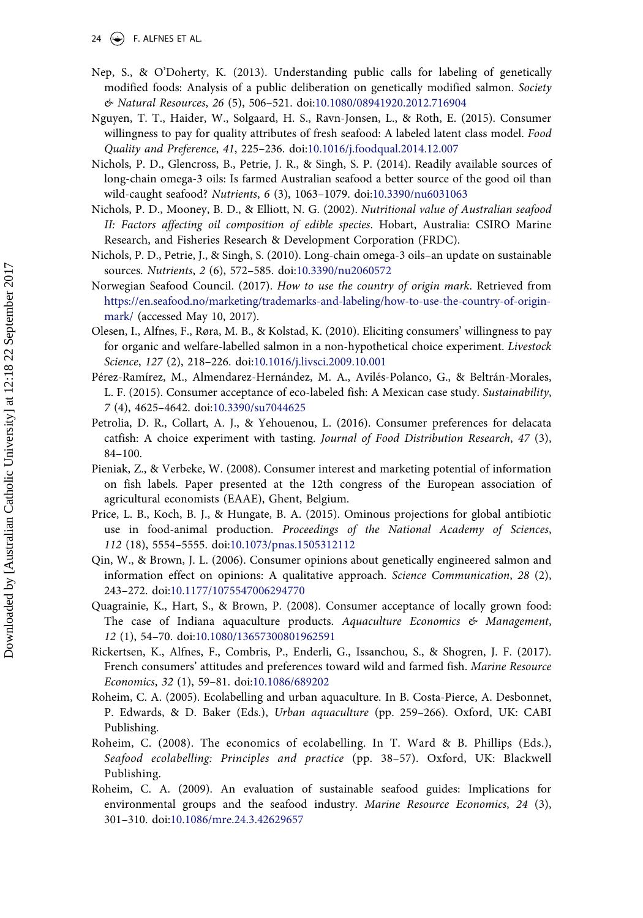- <span id="page-24-0"></span>24  $\left(\bigstar\right)$  F. ALFNES ET AL.
- Nep, S., & O'Doherty, K. (2013). Understanding public calls for labeling of genetically modified foods: Analysis of a public deliberation on genetically modified salmon. *Society & Natural Resources*, *26* (5), 506–521. doi[:10.1080/08941920.2012.716904](https://doi.org/10.1080/08941920.2012.716904)
- Nguyen, T. T., Haider, W., Solgaard, H. S., Ravn-Jonsen, L., & Roth, E. (2015). Consumer willingness to pay for quality attributes of fresh seafood: A labeled latent class model. *Food Quality and Preference*, *41*, 225–236. doi[:10.1016/j.foodqual.2014.12.007](https://doi.org/10.1016/j.foodqual.2014.12.007)
- Nichols, P. D., Glencross, B., Petrie, J. R., & Singh, S. P. (2014). Readily available sources of long-chain omega-3 oils: Is farmed Australian seafood a better source of the good oil than wild-caught seafood? *Nutrients*, *6* (3), 1063–1079. doi[:10.3390/nu6031063](https://doi.org/10.3390/nu6031063)
- Nichols, P. D., Mooney, B. D., & Elliott, N. G. (2002). *Nutritional value of Australian seafood II: Factors affecting oil composition of edible species*. Hobart, Australia: CSIRO Marine Research, and Fisheries Research & Development Corporation (FRDC).
- Nichols, P. D., Petrie, J., & Singh, S. (2010). Long-chain omega-3 oils–an update on sustainable sources. *Nutrients*, *2* (6), 572–585. doi[:10.3390/nu2060572](https://doi.org/10.3390/nu2060572)
- Norwegian Seafood Council. (2017). *How to use the country of origin mark*. Retrieved from [https://en.seafood.no/marketing/trademarks-and-labeling/how-to-use-the-country-of-origin](http://https://en.seafood.no/marketing/trademarks-and-labeling/how-to-use-the-country-of-origin-mark/)[mark/](http://https://en.seafood.no/marketing/trademarks-and-labeling/how-to-use-the-country-of-origin-mark/) (accessed May 10, 2017).
- Olesen, I., Alfnes, F., Røra, M. B., & Kolstad, K. (2010). Eliciting consumers' willingness to pay for organic and welfare-labelled salmon in a non-hypothetical choice experiment. *Livestock Science*, *127* (2), 218–226. doi:[10.1016/j.livsci.2009.10.001](https://doi.org/10.1016/j.livsci.2009.10.001)
- Pérez-Ramírez, M., Almendarez-Hernández, M. A., Avilés-Polanco, G., & Beltrán-Morales, L. F. (2015). Consumer acceptance of eco-labeled fish: A Mexican case study. *Sustainability*, *7* (4), 4625–4642. doi:[10.3390/su7044625](https://doi.org/10.3390/su7044625)
- Petrolia, D. R., Collart, A. J., & Yehouenou, L. (2016). Consumer preferences for delacata catfish: A choice experiment with tasting. *Journal of Food Distribution Research*, *47* (3), 84–100.
- Pieniak, Z., & Verbeke, W. (2008). Consumer interest and marketing potential of information on fish labels. Paper presented at the 12th congress of the European association of agricultural economists (EAAE), Ghent, Belgium.
- Price, L. B., Koch, B. J., & Hungate, B. A. (2015). Ominous projections for global antibiotic use in food-animal production. *Proceedings of the National Academy of Sciences*, *112* (18), 5554–5555. doi[:10.1073/pnas.1505312112](https://doi.org/10.1073/pnas.1505312112)
- Qin, W., & Brown, J. L. (2006). Consumer opinions about genetically engineered salmon and information effect on opinions: A qualitative approach. *Science Communication*, *28* (2), 243–272. doi:[10.1177/1075547006294770](https://doi.org/10.1177/1075547006294770)
- Quagrainie, K., Hart, S., & Brown, P. (2008). Consumer acceptance of locally grown food: The case of Indiana aquaculture products. *Aquaculture Economics & Management*, *12* (1), 54–70. doi[:10.1080/13657300801962591](https://doi.org/10.1080/13657300801962591)
- Rickertsen, K., Alfnes, F., Combris, P., Enderli, G., Issanchou, S., & Shogren, J. F. (2017). French consumers' attitudes and preferences toward wild and farmed fish. *Marine Resource Economics*, *32* (1), 59–81. doi[:10.1086/689202](https://doi.org/10.1086/689202)
- Roheim, C. A. (2005). Ecolabelling and urban aquaculture. In B. Costa-Pierce, A. Desbonnet, P. Edwards, & D. Baker (Eds.), *Urban aquaculture* (pp. 259–266). Oxford, UK: CABI Publishing.
- Roheim, C. (2008). The economics of ecolabelling. In T. Ward & B. Phillips (Eds.), *Seafood ecolabelling: Principles and practice* (pp. 38–57). Oxford, UK: Blackwell Publishing.
- Roheim, C. A. (2009). An evaluation of sustainable seafood guides: Implications for environmental groups and the seafood industry. *Marine Resource Economics*, *24* (3), 301–310. doi:[10.1086/mre.24.3.42629657](https://doi.org/10.1086/mre.24.3.42629657)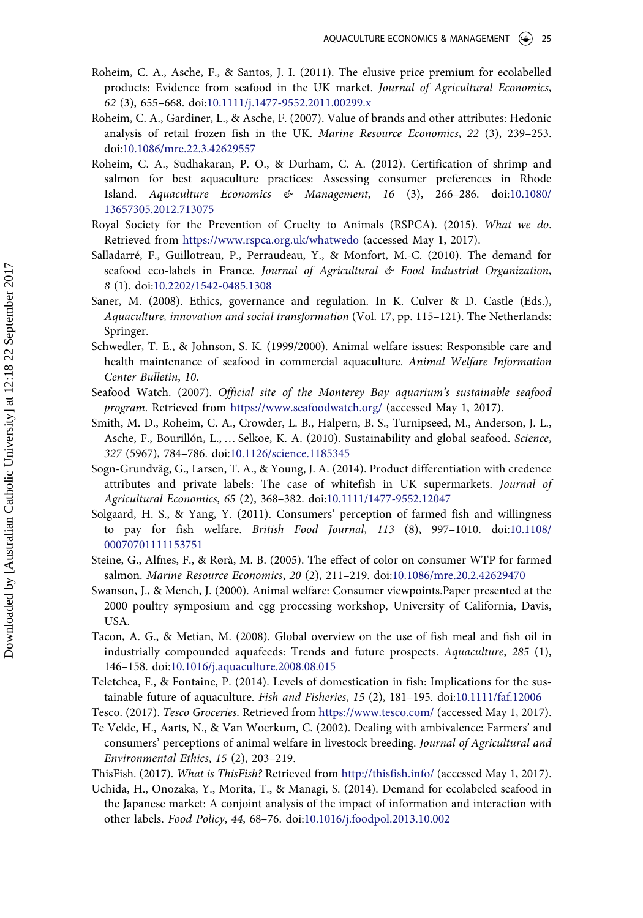- <span id="page-25-0"></span>Roheim, C. A., Asche, F., & Santos, J. I. (2011). The elusive price premium for ecolabelled products: Evidence from seafood in the UK market. *Journal of Agricultural Economics*, *62* (3), 655–668. doi[:10.1111/j.1477-9552.2011.00299.x](https://doi.org/10.1111/j.1477-9552.2011.00299.x)
- Roheim, C. A., Gardiner, L., & Asche, F. (2007). Value of brands and other attributes: Hedonic analysis of retail frozen fish in the UK. *Marine Resource Economics*, *22* (3), 239–253. doi[:10.1086/mre.22.3.42629557](https://doi.org/10.1086/mre.22.3.42629557)
- Roheim, C. A., Sudhakaran, P. O., & Durham, C. A. (2012). Certification of shrimp and salmon for best aquaculture practices: Assessing consumer preferences in Rhode Island. *Aquaculture Economics & Management*, *16* (3), 266–286. doi:[10.1080/](https://doi.org/10.1080/13657305.2012.713075) [13657305.2012.713075](https://doi.org/10.1080/13657305.2012.713075)
- Royal Society for the Prevention of Cruelty to Animals (RSPCA). (2015). *What we do*. Retrieved from <https://www.rspca.org.uk/whatwedo> (accessed May 1, 2017).
- Salladarré, F., Guillotreau, P., Perraudeau, Y., & Monfort, M.-C. (2010). The demand for seafood eco-labels in France. *Journal of Agricultural & Food Industrial Organization*, *8* (1). doi[:10.2202/1542-0485.1308](https://doi.org/10.2202/1542-0485.1308)
- Saner, M. (2008). Ethics, governance and regulation. In K. Culver & D. Castle (Eds.), *Aquaculture, innovation and social transformation* (Vol. 17, pp. 115–121). The Netherlands: Springer.
- Schwedler, T. E., & Johnson, S. K. (1999/2000). Animal welfare issues: Responsible care and health maintenance of seafood in commercial aquaculture. *Animal Welfare Information Center Bulletin*, *10*.
- Seafood Watch. (2007). *Official site of the Monterey Bay aquarium's sustainable seafood program*. Retrieved from <https://www.seafoodwatch.org/>(accessed May 1, 2017).
- Smith, M. D., Roheim, C. A., Crowder, L. B., Halpern, B. S., Turnipseed, M., Anderson, J. L., Asche, F., Bourillón, L., … Selkoe, K. A. (2010). Sustainability and global seafood. *Science*, *327* (5967), 784–786. doi[:10.1126/science.1185345](https://doi.org/10.1126/science.1185345)
- Sogn-Grundvåg, G., Larsen, T. A., & Young, J. A. (2014). Product differentiation with credence attributes and private labels: The case of whitefish in UK supermarkets. *Journal of Agricultural Economics*, *65* (2), 368–382. doi[:10.1111/1477-9552.12047](https://doi.org/10.1111/1477-9552.12047)
- Solgaard, H. S., & Yang, Y. (2011). Consumers' perception of farmed fish and willingness to pay for fish welfare. *British Food Journal*, *113* (8), 997–1010. doi:[10.1108/](https://doi.org/10.1108/00070701111153751) [00070701111153751](https://doi.org/10.1108/00070701111153751)
- Steine, G., Alfnes, F., & Rørå, M. B. (2005). The effect of color on consumer WTP for farmed salmon. *Marine Resource Economics*, *20* (2), 211–219. doi:[10.1086/mre.20.2.42629470](https://doi.org/10.1086/mre.20.2.42629470)
- Swanson, J., & Mench, J. (2000). Animal welfare: Consumer viewpoints.Paper presented at the 2000 poultry symposium and egg processing workshop, University of California, Davis, USA.
- Tacon, A. G., & Metian, M. (2008). Global overview on the use of fish meal and fish oil in industrially compounded aquafeeds: Trends and future prospects. *Aquaculture*, *285* (1), 146–158. doi:[10.1016/j.aquaculture.2008.08.015](https://doi.org/10.1016/j.aquaculture.2008.08.015)
- Teletchea, F., & Fontaine, P. (2014). Levels of domestication in fish: Implications for the sustainable future of aquaculture. *Fish and Fisheries*, *15* (2), 181–195. doi[:10.1111/faf.12006](https://doi.org/10.1111/faf.12006)
- Tesco. (2017). *Tesco Groceries*. Retrieved from <https://www.tesco.com/> (accessed May 1, 2017).
- Te Velde, H., Aarts, N., & Van Woerkum, C. (2002). Dealing with ambivalence: Farmers' and consumers' perceptions of animal welfare in livestock breeding. *Journal of Agricultural and Environmental Ethics*, *15* (2), 203–219.
- ThisFish. (2017). *What is ThisFish?* Retrieved from <http://thisfish.info/> (accessed May 1, 2017).
- Uchida, H., Onozaka, Y., Morita, T., & Managi, S. (2014). Demand for ecolabeled seafood in the Japanese market: A conjoint analysis of the impact of information and interaction with other labels. *Food Policy*, *44*, 68–76. doi:[10.1016/j.foodpol.2013.10.002](https://doi.org/10.1016/j.foodpol.2013.10.002)